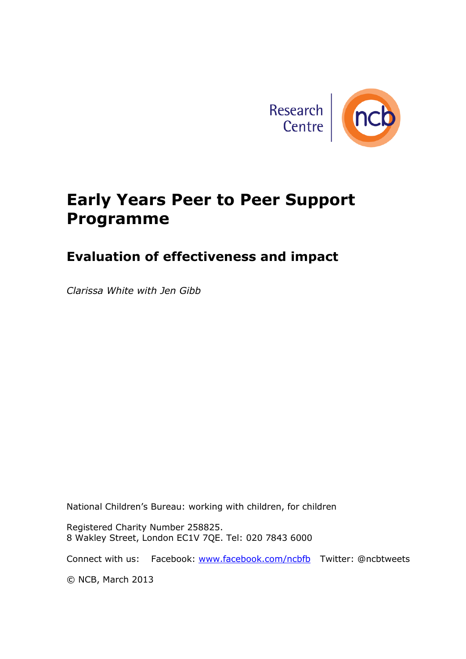

# **Early Years Peer to Peer Support Programme**

### **Evaluation of effectiveness and impact**

*Clarissa White with Jen Gibb*

National Children's Bureau: working with children, for children

Registered Charity Number 258825. 8 Wakley Street, London EC1V 7QE. Tel: 020 7843 6000

Connect with us: Facebook: [www.facebook.com/ncbfb](http://www.facebook.com/ncbfb) Twitter: @ncbtweets

© NCB, March 2013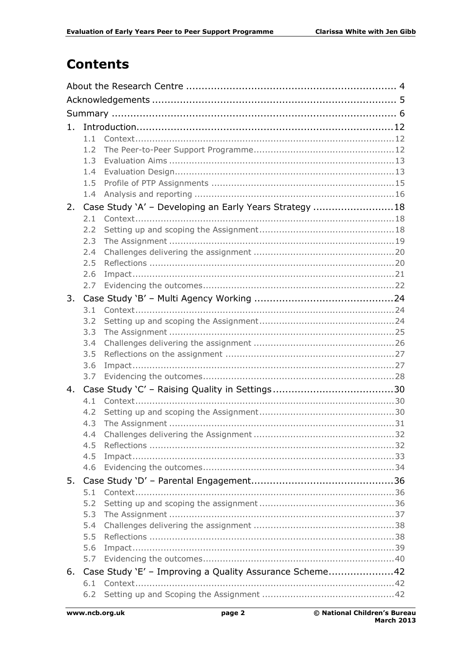## **Contents**

| 1. |            |                                                         |  |  |
|----|------------|---------------------------------------------------------|--|--|
|    | 1.1        |                                                         |  |  |
|    | 1.2        |                                                         |  |  |
|    | 1.3        |                                                         |  |  |
|    | 1.4        |                                                         |  |  |
|    | 1.5        |                                                         |  |  |
|    | 1.4        |                                                         |  |  |
| 2. |            | Case Study 'A' - Developing an Early Years Strategy 18  |  |  |
|    | 2.1        |                                                         |  |  |
|    | 2.2        |                                                         |  |  |
|    | 2.3        |                                                         |  |  |
|    | 2.4        |                                                         |  |  |
|    | 2.5        |                                                         |  |  |
|    | 2.6<br>2.7 |                                                         |  |  |
|    |            |                                                         |  |  |
| 3. |            |                                                         |  |  |
|    | 3.1<br>3.2 |                                                         |  |  |
|    | 3.3        |                                                         |  |  |
|    | 3.4        |                                                         |  |  |
|    | 3.5        |                                                         |  |  |
|    | 3.6        |                                                         |  |  |
|    | 3.7        |                                                         |  |  |
| 4. |            |                                                         |  |  |
|    | 4.1        |                                                         |  |  |
|    | 4.2        |                                                         |  |  |
|    | 4.3        |                                                         |  |  |
|    | 4.4        |                                                         |  |  |
|    | 4.5        |                                                         |  |  |
|    | 4.5        |                                                         |  |  |
|    | 4.6        |                                                         |  |  |
| 5. |            |                                                         |  |  |
|    | 5.1        |                                                         |  |  |
|    | 5.2        |                                                         |  |  |
|    | 5.3        |                                                         |  |  |
|    | 5.4        |                                                         |  |  |
|    | 5.5        |                                                         |  |  |
|    | 5.6        |                                                         |  |  |
|    | 5.7        |                                                         |  |  |
| 6. |            | Case Study 'E' - Improving a Quality Assurance Scheme42 |  |  |
|    | 6.1        |                                                         |  |  |
|    | 6.2        |                                                         |  |  |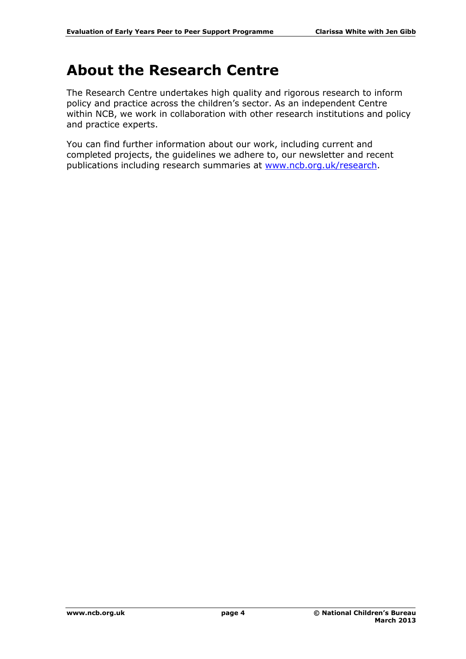# <span id="page-3-0"></span>**About the Research Centre**

The Research Centre undertakes high quality and rigorous research to inform policy and practice across the children's sector. As an independent Centre within NCB, we work in collaboration with other research institutions and policy and practice experts.

You can find further information about our work, including current and completed projects, the guidelines we adhere to, our newsletter and recent publications including research summaries at [www.ncb.org.uk/research.](http://www.ncb.org.uk/research)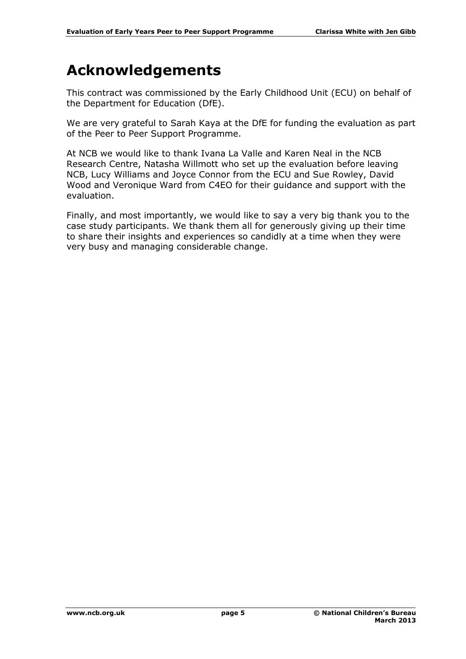# <span id="page-4-0"></span>**Acknowledgements**

This contract was commissioned by the Early Childhood Unit (ECU) on behalf of the Department for Education (DfE).

We are very grateful to Sarah Kaya at the DfE for funding the evaluation as part of the Peer to Peer Support Programme.

At NCB we would like to thank Ivana La Valle and Karen Neal in the NCB Research Centre, Natasha Willmott who set up the evaluation before leaving NCB, Lucy Williams and Joyce Connor from the ECU and Sue Rowley, David Wood and Veronique Ward from C4EO for their guidance and support with the evaluation.

Finally, and most importantly, we would like to say a very big thank you to the case study participants. We thank them all for generously giving up their time to share their insights and experiences so candidly at a time when they were very busy and managing considerable change.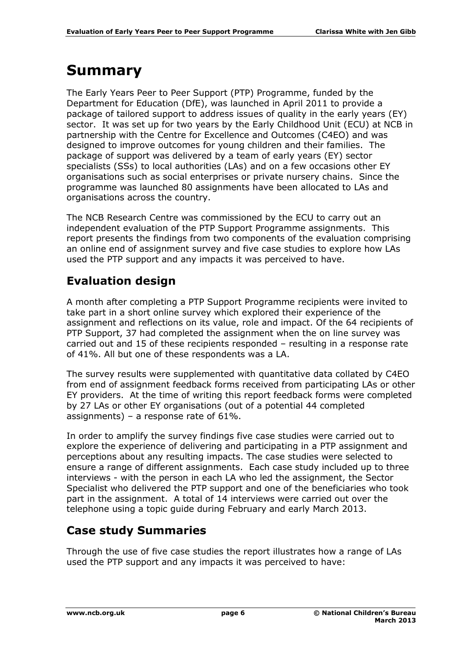# <span id="page-5-0"></span>**Summary**

The Early Years Peer to Peer Support (PTP) Programme, funded by the Department for Education (DfE), was launched in April 2011 to provide a package of tailored support to address issues of quality in the early years (EY) sector. It was set up for two years by the Early Childhood Unit (ECU) at NCB in partnership with the Centre for Excellence and Outcomes (C4EO) and was designed to improve outcomes for young children and their families. The package of support was delivered by a team of early years (EY) sector specialists (SSs) to local authorities (LAs) and on a few occasions other EY organisations such as social enterprises or private nursery chains. Since the programme was launched 80 assignments have been allocated to LAs and organisations across the country.

The NCB Research Centre was commissioned by the ECU to carry out an independent evaluation of the PTP Support Programme assignments. This report presents the findings from two components of the evaluation comprising an online end of assignment survey and five case studies to explore how LAs used the PTP support and any impacts it was perceived to have.

#### **Evaluation design**

A month after completing a PTP Support Programme recipients were invited to take part in a short online survey which explored their experience of the assignment and reflections on its value, role and impact. Of the 64 recipients of PTP Support, 37 had completed the assignment when the on line survey was carried out and 15 of these recipients responded – resulting in a response rate of 41%. All but one of these respondents was a LA.

The survey results were supplemented with quantitative data collated by C4EO from end of assignment feedback forms received from participating LAs or other EY providers. At the time of writing this report feedback forms were completed by 27 LAs or other EY organisations (out of a potential 44 completed assignments) – a response rate of 61%.

In order to amplify the survey findings five case studies were carried out to explore the experience of delivering and participating in a PTP assignment and perceptions about any resulting impacts. The case studies were selected to ensure a range of different assignments. Each case study included up to three interviews - with the person in each LA who led the assignment, the Sector Specialist who delivered the PTP support and one of the beneficiaries who took part in the assignment. A total of 14 interviews were carried out over the telephone using a topic guide during February and early March 2013.

#### **Case study Summaries**

Through the use of five case studies the report illustrates how a range of LAs used the PTP support and any impacts it was perceived to have: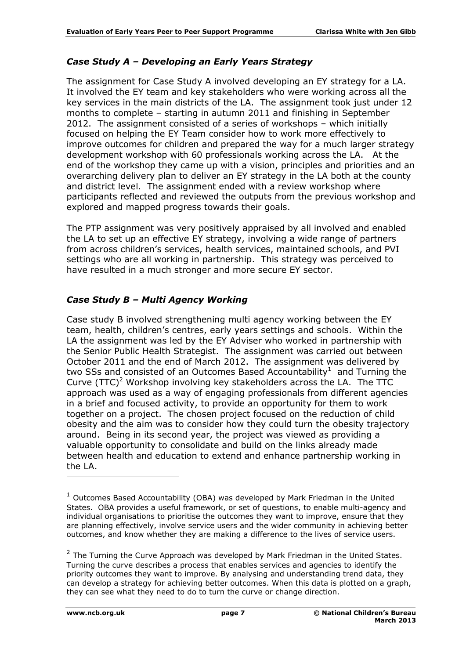#### *Case Study A – Developing an Early Years Strategy*

The assignment for Case Study A involved developing an EY strategy for a LA. It involved the EY team and key stakeholders who were working across all the key services in the main districts of the LA. The assignment took just under 12 months to complete – starting in autumn 2011 and finishing in September 2012. The assignment consisted of a series of workshops – which initially focused on helping the EY Team consider how to work more effectively to improve outcomes for children and prepared the way for a much larger strategy development workshop with 60 professionals working across the LA. At the end of the workshop they came up with a vision, principles and priorities and an overarching delivery plan to deliver an EY strategy in the LA both at the county and district level. The assignment ended with a review workshop where participants reflected and reviewed the outputs from the previous workshop and explored and mapped progress towards their goals.

The PTP assignment was very positively appraised by all involved and enabled the LA to set up an effective EY strategy, involving a wide range of partners from across children's services, health services, maintained schools, and PVI settings who are all working in partnership. This strategy was perceived to have resulted in a much stronger and more secure EY sector.

#### *Case Study B – Multi Agency Working*

Case study B involved strengthening multi agency working between the EY team, health, children's centres, early years settings and schools. Within the LA the assignment was led by the EY Adviser who worked in partnership with the Senior Public Health Strategist. The assignment was carried out between October 2011 and the end of March 2012. The assignment was delivered by two SSs and consisted of an Outcomes Based Accountability<sup>1</sup> and Turning the Curve  $(TTC)^2$  Workshop involving key stakeholders across the LA. The TTC approach was used as a way of engaging professionals from different agencies in a brief and focused activity, to provide an opportunity for them to work together on a project. The chosen project focused on the reduction of child obesity and the aim was to consider how they could turn the obesity trajectory around. Being in its second year, the project was viewed as providing a valuable opportunity to consolidate and build on the links already made between health and education to extend and enhance partnership working in the LA.

-

 $1$  Outcomes Based Accountability (OBA) was developed by Mark Friedman in the United States. OBA provides a useful framework, or set of questions, to enable multi-agency and individual organisations to prioritise the outcomes they want to improve, ensure that they are planning effectively, involve service users and the wider community in achieving better outcomes, and know whether they are making a difference to the lives of service users.

 $2$  The Turning the Curve Approach was developed by Mark Friedman in the United States. Turning the curve describes a process that enables services and agencies to identify the priority outcomes they want to improve. By analysing and understanding trend data, they can develop a strategy for achieving better outcomes. When this data is plotted on a graph, they can see what they need to do to turn the curve or change direction.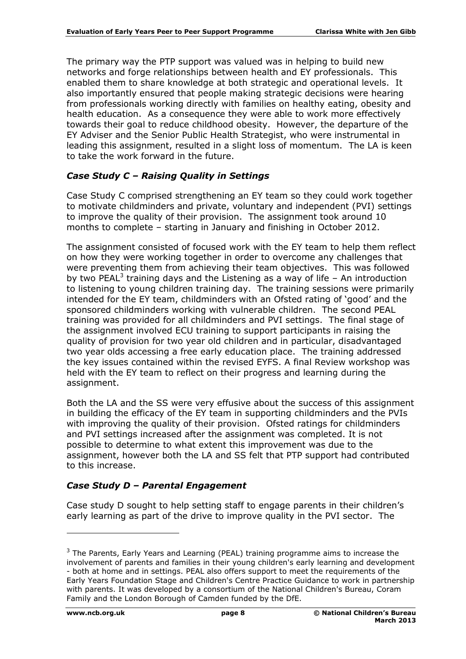The primary way the PTP support was valued was in helping to build new networks and forge relationships between health and EY professionals. This enabled them to share knowledge at both strategic and operational levels. It also importantly ensured that people making strategic decisions were hearing from professionals working directly with families on healthy eating, obesity and health education. As a consequence they were able to work more effectively towards their goal to reduce childhood obesity. However, the departure of the EY Adviser and the Senior Public Health Strategist, who were instrumental in leading this assignment, resulted in a slight loss of momentum. The LA is keen to take the work forward in the future.

#### *Case Study C – Raising Quality in Settings*

Case Study C comprised strengthening an EY team so they could work together to motivate childminders and private, voluntary and independent (PVI) settings to improve the quality of their provision. The assignment took around 10 months to complete – starting in January and finishing in October 2012.

The assignment consisted of focused work with the EY team to help them reflect on how they were working together in order to overcome any challenges that were preventing them from achieving their team objectives. This was followed by two PEAL<sup>3</sup> training days and the Listening as a way of life  $-$  An introduction to listening to young children training day. The training sessions were primarily intended for the EY team, childminders with an Ofsted rating of 'good' and the sponsored childminders working with vulnerable children. The second PEAL training was provided for all childminders and PVI settings. The final stage of the assignment involved ECU training to support participants in raising the quality of provision for two year old children and in particular, disadvantaged two year olds accessing a free early education place. The training addressed the key issues contained within the revised EYFS. A final Review workshop was held with the EY team to reflect on their progress and learning during the assignment.

Both the LA and the SS were very effusive about the success of this assignment in building the efficacy of the EY team in supporting childminders and the PVIs with improving the quality of their provision. Ofsted ratings for childminders and PVI settings increased after the assignment was completed. It is not possible to determine to what extent this improvement was due to the assignment, however both the LA and SS felt that PTP support had contributed to this increase.

#### *Case Study D – Parental Engagement*

Case study D sought to help setting staff to engage parents in their children's early learning as part of the drive to improve quality in the PVI sector. The

-

<sup>&</sup>lt;sup>3</sup> The Parents, Early Years and Learning (PEAL) training programme aims to increase the involvement of parents and families in their young children's early learning and development - both at home and in settings. PEAL also offers support to meet the requirements of the Early Years Foundation Stage and Children's Centre Practice Guidance to work in partnership with parents. It was developed by a consortium of the National Children's Bureau, Coram Family and the London Borough of Camden funded by the DfE.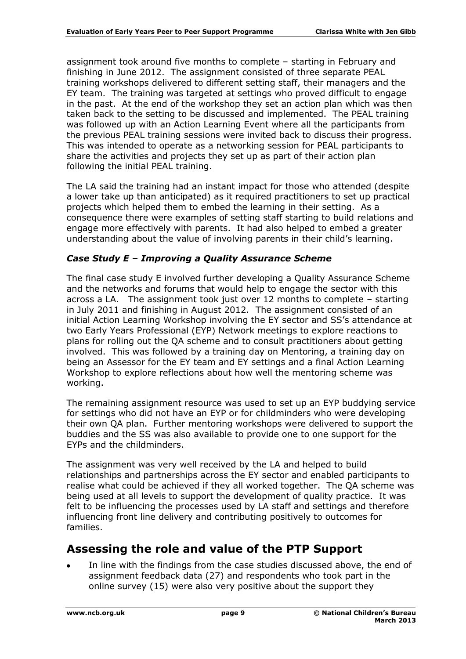assignment took around five months to complete – starting in February and finishing in June 2012. The assignment consisted of three separate PEAL training workshops delivered to different setting staff, their managers and the EY team. The training was targeted at settings who proved difficult to engage in the past. At the end of the workshop they set an action plan which was then taken back to the setting to be discussed and implemented. The PEAL training was followed up with an Action Learning Event where all the participants from the previous PEAL training sessions were invited back to discuss their progress. This was intended to operate as a networking session for PEAL participants to share the activities and projects they set up as part of their action plan following the initial PEAL training.

The LA said the training had an instant impact for those who attended (despite a lower take up than anticipated) as it required practitioners to set up practical projects which helped them to embed the learning in their setting. As a consequence there were examples of setting staff starting to build relations and engage more effectively with parents. It had also helped to embed a greater understanding about the value of involving parents in their child's learning.

#### *Case Study E – Improving a Quality Assurance Scheme*

The final case study E involved further developing a Quality Assurance Scheme and the networks and forums that would help to engage the sector with this across a LA. The assignment took just over 12 months to complete – starting in July 2011 and finishing in August 2012. The assignment consisted of an initial Action Learning Workshop involving the EY sector and SS's attendance at two Early Years Professional (EYP) Network meetings to explore reactions to plans for rolling out the QA scheme and to consult practitioners about getting involved. This was followed by a training day on Mentoring, a training day on being an Assessor for the EY team and EY settings and a final Action Learning Workshop to explore reflections about how well the mentoring scheme was working.

The remaining assignment resource was used to set up an EYP buddying service for settings who did not have an EYP or for childminders who were developing their own QA plan. Further mentoring workshops were delivered to support the buddies and the SS was also available to provide one to one support for the EYPs and the childminders.

The assignment was very well received by the LA and helped to build relationships and partnerships across the EY sector and enabled participants to realise what could be achieved if they all worked together. The QA scheme was being used at all levels to support the development of quality practice. It was felt to be influencing the processes used by LA staff and settings and therefore influencing front line delivery and contributing positively to outcomes for families.

#### **Assessing the role and value of the PTP Support**

In line with the findings from the case studies discussed above, the end of assignment feedback data (27) and respondents who took part in the online survey (15) were also very positive about the support they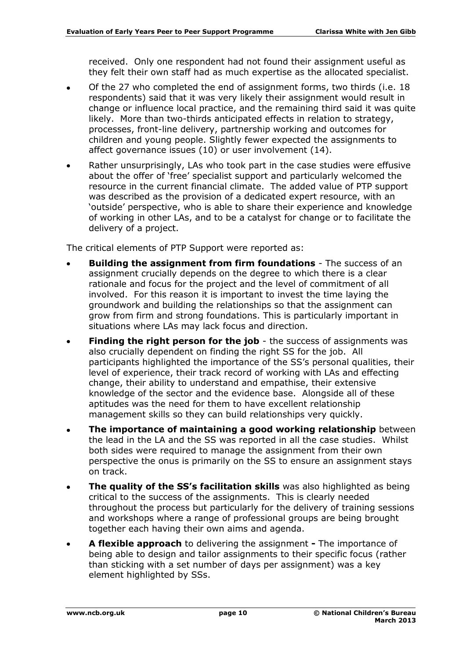received. Only one respondent had not found their assignment useful as they felt their own staff had as much expertise as the allocated specialist.

- Of the 27 who completed the end of assignment forms, two thirds (i.e. 18 respondents) said that it was very likely their assignment would result in change or influence local practice, and the remaining third said it was quite likely. More than two-thirds anticipated effects in relation to strategy, processes, front-line delivery, partnership working and outcomes for children and young people. Slightly fewer expected the assignments to affect governance issues (10) or user involvement (14).
- Rather unsurprisingly, LAs who took part in the case studies were effusive about the offer of 'free' specialist support and particularly welcomed the resource in the current financial climate. The added value of PTP support was described as the provision of a dedicated expert resource, with an 'outside' perspective, who is able to share their experience and knowledge of working in other LAs, and to be a catalyst for change or to facilitate the delivery of a project.

The critical elements of PTP Support were reported as:

- **Building the assignment from firm foundations** The success of an assignment crucially depends on the degree to which there is a clear rationale and focus for the project and the level of commitment of all involved. For this reason it is important to invest the time laying the groundwork and building the relationships so that the assignment can grow from firm and strong foundations. This is particularly important in situations where LAs may lack focus and direction.
- **Finding the right person for the job** the success of assignments was also crucially dependent on finding the right SS for the job. All participants highlighted the importance of the SS's personal qualities, their level of experience, their track record of working with LAs and effecting change, their ability to understand and empathise, their extensive knowledge of the sector and the evidence base. Alongside all of these aptitudes was the need for them to have excellent relationship management skills so they can build relationships very quickly.
- **The importance of maintaining a good working relationship** between  $\bullet$ the lead in the LA and the SS was reported in all the case studies. Whilst both sides were required to manage the assignment from their own perspective the onus is primarily on the SS to ensure an assignment stays on track.
- **The quality of the SS's facilitation skills** was also highlighted as being critical to the success of the assignments. This is clearly needed throughout the process but particularly for the delivery of training sessions and workshops where a range of professional groups are being brought together each having their own aims and agenda.
- **A flexible approach** to delivering the assignment **-** The importance of  $\bullet$ being able to design and tailor assignments to their specific focus (rather than sticking with a set number of days per assignment) was a key element highlighted by SSs.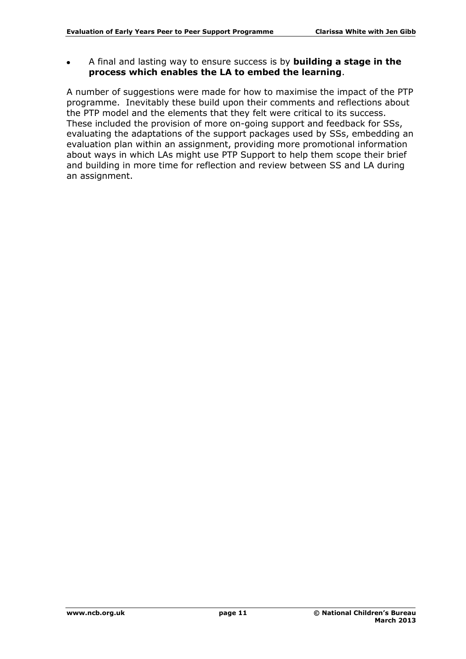A final and lasting way to ensure success is by **building a stage in the process which enables the LA to embed the learning**.

A number of suggestions were made for how to maximise the impact of the PTP programme. Inevitably these build upon their comments and reflections about the PTP model and the elements that they felt were critical to its success. These included the provision of more on-going support and feedback for SSs, evaluating the adaptations of the support packages used by SSs, embedding an evaluation plan within an assignment, providing more promotional information about ways in which LAs might use PTP Support to help them scope their brief and building in more time for reflection and review between SS and LA during an assignment.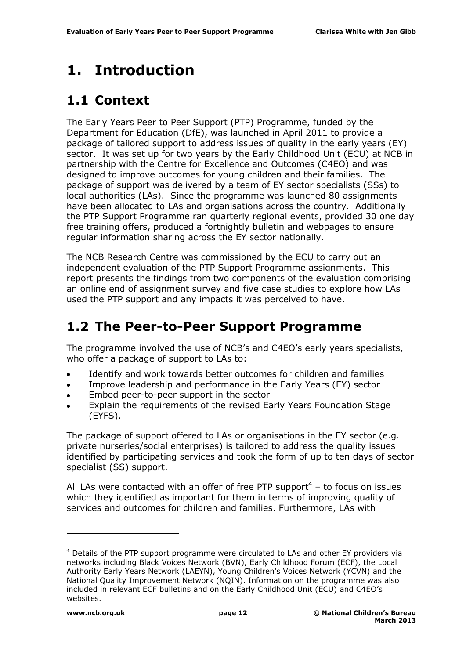# <span id="page-11-0"></span>**1. Introduction**

## <span id="page-11-1"></span>**1.1 Context**

The Early Years Peer to Peer Support (PTP) Programme, funded by the Department for Education (DfE), was launched in April 2011 to provide a package of tailored support to address issues of quality in the early years (EY) sector. It was set up for two years by the Early Childhood Unit (ECU) at NCB in partnership with the Centre for Excellence and Outcomes (C4EO) and was designed to improve outcomes for young children and their families. The package of support was delivered by a team of EY sector specialists (SSs) to local authorities (LAs). Since the programme was launched 80 assignments have been allocated to LAs and organisations across the country. Additionally the PTP Support Programme ran quarterly regional events, provided 30 one day free training offers, produced a fortnightly bulletin and webpages to ensure regular information sharing across the EY sector nationally.

The NCB Research Centre was commissioned by the ECU to carry out an independent evaluation of the PTP Support Programme assignments. This report presents the findings from two components of the evaluation comprising an online end of assignment survey and five case studies to explore how LAs used the PTP support and any impacts it was perceived to have.

## <span id="page-11-2"></span>**1.2 The Peer-to-Peer Support Programme**

The programme involved the use of NCB's and C4EO's early years specialists, who offer a package of support to LAs to:

- Identify and work towards better outcomes for children and families
- Improve leadership and performance in the Early Years (EY) sector
- Embed peer-to-peer support in the sector
- Explain the requirements of the revised Early Years Foundation Stage (EYFS).

The package of support offered to LAs or organisations in the EY sector (e.g. private nurseries/social enterprises) is tailored to address the quality issues identified by participating services and took the form of up to ten days of sector specialist (SS) support.

All LAs were contacted with an offer of free PTP support<sup>4</sup> – to focus on issues which they identified as important for them in terms of improving quality of services and outcomes for children and families. Furthermore, LAs with

-

<sup>4</sup> Details of the PTP support programme were circulated to LAs and other EY providers via networks including Black Voices Network (BVN), Early Childhood Forum (ECF), the Local Authority Early Years Network (LAEYN), Young Children's Voices Network (YCVN) and the National Quality Improvement Network (NQIN). Information on the programme was also included in relevant ECF bulletins and on the Early Childhood Unit (ECU) and C4EO's websites.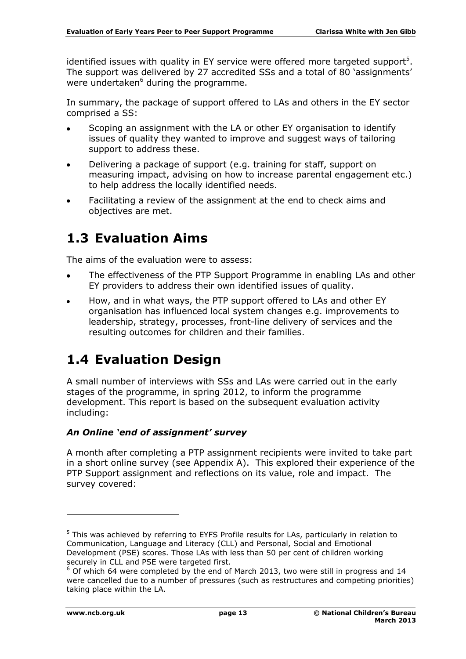identified issues with quality in EY service were offered more targeted support<sup>5</sup>. The support was delivered by 27 accredited SSs and a total of 80 'assignments' were undertaken $6$  during the programme.

In summary, the package of support offered to LAs and others in the EY sector comprised a SS:

- Scoping an assignment with the LA or other EY organisation to identify issues of quality they wanted to improve and suggest ways of tailoring support to address these.
- Delivering a package of support (e.g. training for staff, support on measuring impact, advising on how to increase parental engagement etc.) to help address the locally identified needs.
- Facilitating a review of the assignment at the end to check aims and objectives are met.

## <span id="page-12-0"></span>**1.3 Evaluation Aims**

The aims of the evaluation were to assess:

- The effectiveness of the PTP Support Programme in enabling LAs and other EY providers to address their own identified issues of quality.
- How, and in what ways, the PTP support offered to LAs and other EY organisation has influenced local system changes e.g. improvements to leadership, strategy, processes, front-line delivery of services and the resulting outcomes for children and their families.

## <span id="page-12-1"></span>**1.4 Evaluation Design**

A small number of interviews with SSs and LAs were carried out in the early stages of the programme, in spring 2012, to inform the programme development. This report is based on the subsequent evaluation activity including:

#### *An Online 'end of assignment' survey*

A month after completing a PTP assignment recipients were invited to take part in a short online survey (see Appendix A). This explored their experience of the PTP Support assignment and reflections on its value, role and impact. The survey covered:

-

<sup>&</sup>lt;sup>5</sup> This was achieved by referring to EYFS Profile results for LAs, particularly in relation to Communication, Language and Literacy (CLL) and Personal, Social and Emotional Development (PSE) scores. Those LAs with less than 50 per cent of children working securely in CLL and PSE were targeted first.

 $6$  Of which 64 were completed by the end of March 2013, two were still in progress and 14 were cancelled due to a number of pressures (such as restructures and competing priorities) taking place within the LA.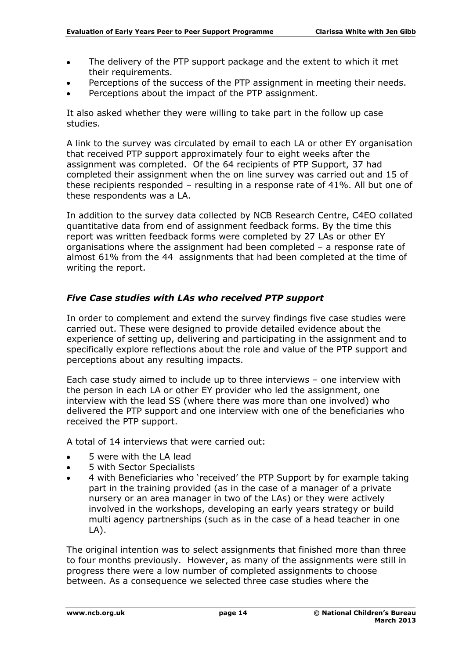- The delivery of the PTP support package and the extent to which it met  $\bullet$ their requirements.
- Perceptions of the success of the PTP assignment in meeting their needs.
- Perceptions about the impact of the PTP assignment.

It also asked whether they were willing to take part in the follow up case studies.

A link to the survey was circulated by email to each LA or other EY organisation that received PTP support approximately four to eight weeks after the assignment was completed. Of the 64 recipients of PTP Support, 37 had completed their assignment when the on line survey was carried out and 15 of these recipients responded – resulting in a response rate of 41%. All but one of these respondents was a LA.

In addition to the survey data collected by NCB Research Centre, C4EO collated quantitative data from end of assignment feedback forms. By the time this report was written feedback forms were completed by 27 LAs or other EY organisations where the assignment had been completed – a response rate of almost 61% from the 44 assignments that had been completed at the time of writing the report.

#### *Five Case studies with LAs who received PTP support*

In order to complement and extend the survey findings five case studies were carried out. These were designed to provide detailed evidence about the experience of setting up, delivering and participating in the assignment and to specifically explore reflections about the role and value of the PTP support and perceptions about any resulting impacts.

Each case study aimed to include up to three interviews – one interview with the person in each LA or other EY provider who led the assignment, one interview with the lead SS (where there was more than one involved) who delivered the PTP support and one interview with one of the beneficiaries who received the PTP support.

A total of 14 interviews that were carried out:

- 5 were with the LA lead
- 5 with Sector Specialists  $\bullet$
- 4 with Beneficiaries who 'received' the PTP Support by for example taking part in the training provided (as in the case of a manager of a private nursery or an area manager in two of the LAs) or they were actively involved in the workshops, developing an early years strategy or build multi agency partnerships (such as in the case of a head teacher in one LA).

The original intention was to select assignments that finished more than three to four months previously. However, as many of the assignments were still in progress there were a low number of completed assignments to choose between. As a consequence we selected three case studies where the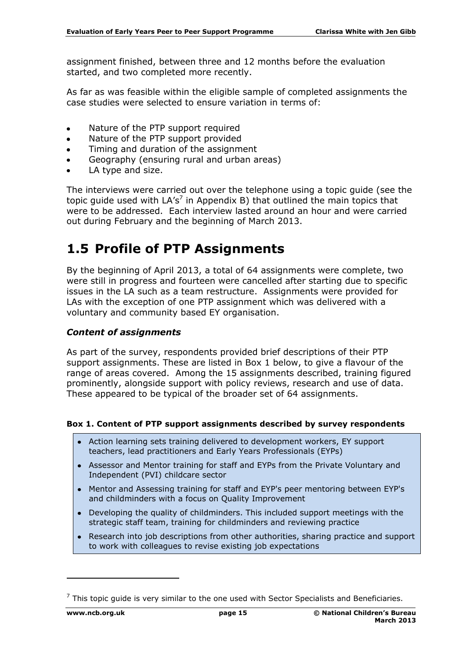assignment finished, between three and 12 months before the evaluation started, and two completed more recently.

As far as was feasible within the eligible sample of completed assignments the case studies were selected to ensure variation in terms of:

- Nature of the PTP support required  $\bullet$
- Nature of the PTP support provided
- Timing and duration of the assignment
- Geography (ensuring rural and urban areas)
- LA type and size.

The interviews were carried out over the telephone using a topic guide (see the topic guide used with  $LA's<sup>7</sup>$  in Appendix B) that outlined the main topics that were to be addressed. Each interview lasted around an hour and were carried out during February and the beginning of March 2013.

#### <span id="page-14-0"></span>**1.5 Profile of PTP Assignments**

By the beginning of April 2013, a total of 64 assignments were complete, two were still in progress and fourteen were cancelled after starting due to specific issues in the LA such as a team restructure. Assignments were provided for LAs with the exception of one PTP assignment which was delivered with a voluntary and community based EY organisation.

#### *Content of assignments*

As part of the survey, respondents provided brief descriptions of their PTP support assignments. These are listed in Box 1 below, to give a flavour of the range of areas covered. Among the 15 assignments described, training figured prominently, alongside support with policy reviews, research and use of data. These appeared to be typical of the broader set of 64 assignments.

#### **Box 1. Content of PTP support assignments described by survey respondents**

- Action learning sets training delivered to development workers, EY support teachers, lead practitioners and Early Years Professionals (EYPs)
- Assessor and Mentor training for staff and EYPs from the Private Voluntary and Independent (PVI) childcare sector
- Mentor and Assessing training for staff and EYP's peer mentoring between EYP's and childminders with a focus on Quality Improvement
- Developing the quality of childminders. This included support meetings with the strategic staff team, training for childminders and reviewing practice
- Research into job descriptions from other authorities, sharing practice and support to work with colleagues to revise existing job expectations

-

 $7$  This topic guide is very similar to the one used with Sector Specialists and Beneficiaries.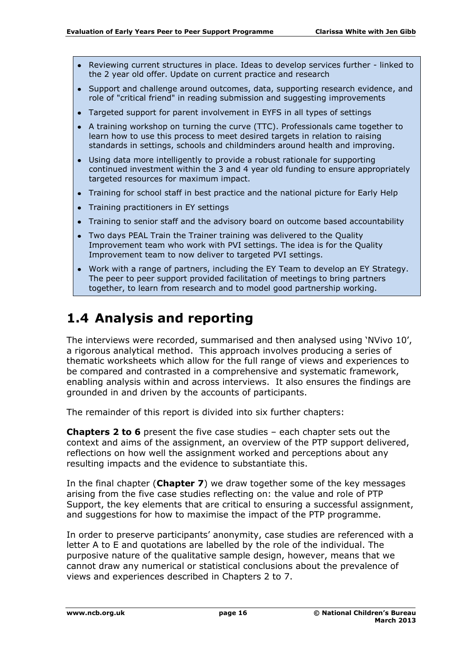- Reviewing current structures in place. Ideas to develop services further linked to  $\bullet$ the 2 year old offer. Update on current practice and research
- Support and challenge around outcomes, data, supporting research evidence, and role of "critical friend" in reading submission and suggesting improvements
- Targeted support for parent involvement in EYFS in all types of settings
- A training workshop on turning the curve (TTC). Professionals came together to learn how to use this process to meet desired targets in relation to raising standards in settings, schools and childminders around health and improving.
- Using data more intelligently to provide a robust rationale for supporting continued investment within the 3 and 4 year old funding to ensure appropriately targeted resources for maximum impact.
- Training for school staff in best practice and the national picture for Early Help
- Training practitioners in EY settings
- Training to senior staff and the advisory board on outcome based accountability
- Two days PEAL Train the Trainer training was delivered to the Quality Improvement team who work with PVI settings. The idea is for the Quality Improvement team to now deliver to targeted PVI settings.
- Work with a range of partners, including the EY Team to develop an EY Strategy. The peer to peer support provided facilitation of meetings to bring partners together, to learn from research and to model good partnership working.

## <span id="page-15-0"></span>**1.4 Analysis and reporting**

The interviews were recorded, summarised and then analysed using 'NVivo 10', a rigorous analytical method. This approach involves producing a series of thematic worksheets which allow for the full range of views and experiences to be compared and contrasted in a comprehensive and systematic framework, enabling analysis within and across interviews. It also ensures the findings are grounded in and driven by the accounts of participants.

The remainder of this report is divided into six further chapters:

**Chapters 2 to 6** present the five case studies – each chapter sets out the context and aims of the assignment, an overview of the PTP support delivered, reflections on how well the assignment worked and perceptions about any resulting impacts and the evidence to substantiate this.

In the final chapter (**Chapter 7**) we draw together some of the key messages arising from the five case studies reflecting on: the value and role of PTP Support, the key elements that are critical to ensuring a successful assignment, and suggestions for how to maximise the impact of the PTP programme.

In order to preserve participants' anonymity, case studies are referenced with a letter A to E and quotations are labelled by the role of the individual. The purposive nature of the qualitative sample design, however, means that we cannot draw any numerical or statistical conclusions about the prevalence of views and experiences described in Chapters 2 to 7.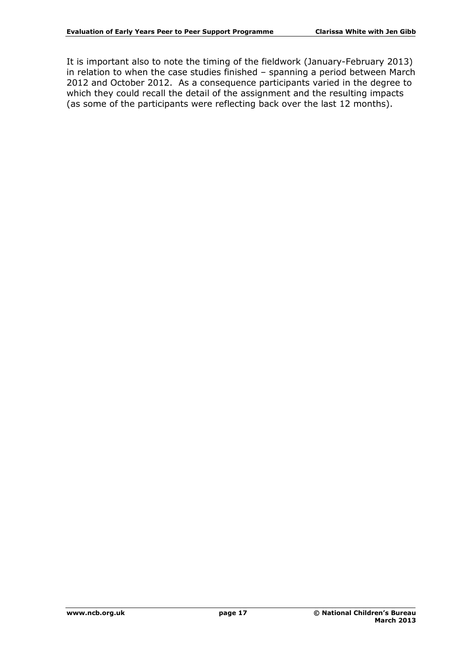It is important also to note the timing of the fieldwork (January-February 2013) in relation to when the case studies finished – spanning a period between March 2012 and October 2012. As a consequence participants varied in the degree to which they could recall the detail of the assignment and the resulting impacts (as some of the participants were reflecting back over the last 12 months).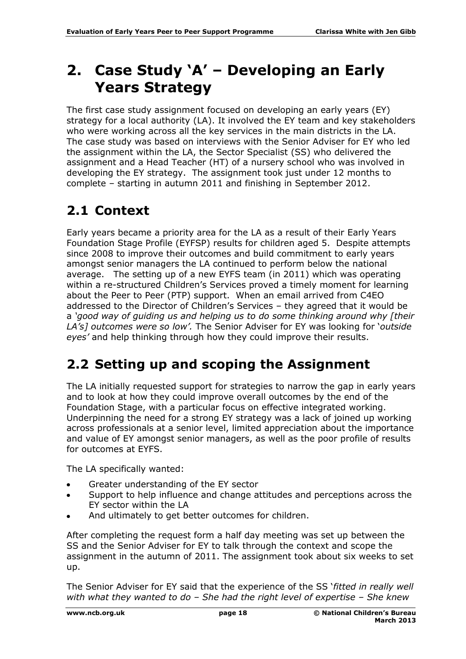# <span id="page-17-0"></span>**2. Case Study 'A' – Developing an Early Years Strategy**

The first case study assignment focused on developing an early years (EY) strategy for a local authority (LA). It involved the EY team and key stakeholders who were working across all the key services in the main districts in the LA. The case study was based on interviews with the Senior Adviser for EY who led the assignment within the LA, the Sector Specialist (SS) who delivered the assignment and a Head Teacher (HT) of a nursery school who was involved in developing the EY strategy. The assignment took just under 12 months to complete – starting in autumn 2011 and finishing in September 2012.

## <span id="page-17-1"></span>**2.1 Context**

Early years became a priority area for the LA as a result of their Early Years Foundation Stage Profile (EYFSP) results for children aged 5. Despite attempts since 2008 to improve their outcomes and build commitment to early years amongst senior managers the LA continued to perform below the national average. The setting up of a new EYFS team (in 2011) which was operating within a re-structured Children's Services proved a timely moment for learning about the Peer to Peer (PTP) support. When an email arrived from C4EO addressed to the Director of Children's Services – they agreed that it would be a *'good way of guiding us and helping us to do some thinking around why [their LA's] outcomes were so low'.* The Senior Adviser for EY was looking for '*outside eyes'* and help thinking through how they could improve their results.

## <span id="page-17-2"></span>**2.2 Setting up and scoping the Assignment**

The LA initially requested support for strategies to narrow the gap in early years and to look at how they could improve overall outcomes by the end of the Foundation Stage, with a particular focus on effective integrated working. Underpinning the need for a strong EY strategy was a lack of joined up working across professionals at a senior level, limited appreciation about the importance and value of EY amongst senior managers, as well as the poor profile of results for outcomes at EYFS.

The LA specifically wanted:

- Greater understanding of the EY sector  $\bullet$
- Support to help influence and change attitudes and perceptions across the EY sector within the LA
- And ultimately to get better outcomes for children.

After completing the request form a half day meeting was set up between the SS and the Senior Adviser for EY to talk through the context and scope the assignment in the autumn of 2011. The assignment took about six weeks to set up.

The Senior Adviser for EY said that the experience of the SS '*fitted in really well with what they wanted to do – She had the right level of expertise – She knew*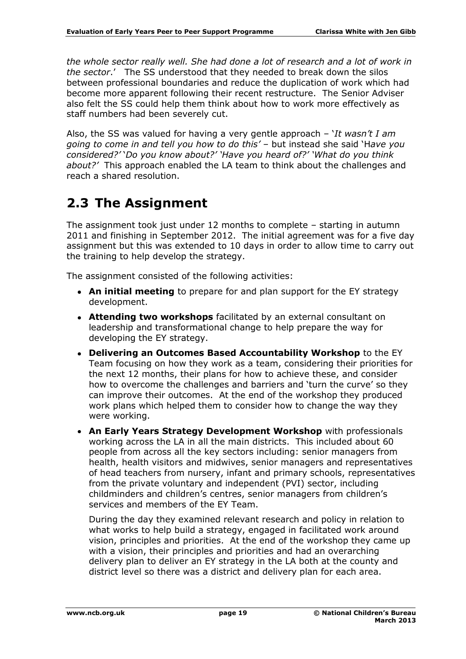*the whole sector really well. She had done a lot of research and a lot of work in the sector*.' The SS understood that they needed to break down the silos between professional boundaries and reduce the duplication of work which had become more apparent following their recent restructure. The Senior Adviser also felt the SS could help them think about how to work more effectively as staff numbers had been severely cut.

Also, the SS was valued for having a very gentle approach – '*It wasn't I am going to come in and tell you how to do this'* – but instead she said 'H*ave you considered?'* '*Do you know about?' 'Have you heard of?' 'What do you think about?'* This approach enabled the LA team to think about the challenges and reach a shared resolution.

### <span id="page-18-0"></span>**2.3 The Assignment**

The assignment took just under 12 months to complete – starting in autumn 2011 and finishing in September 2012. The initial agreement was for a five day assignment but this was extended to 10 days in order to allow time to carry out the training to help develop the strategy.

The assignment consisted of the following activities:

- **An initial meeting** to prepare for and plan support for the EY strategy development.
- **Attending two workshops** facilitated by an external consultant on leadership and transformational change to help prepare the way for developing the EY strategy.
- **Delivering an Outcomes Based Accountability Workshop** to the EY Team focusing on how they work as a team, considering their priorities for the next 12 months, their plans for how to achieve these, and consider how to overcome the challenges and barriers and 'turn the curve' so they can improve their outcomes. At the end of the workshop they produced work plans which helped them to consider how to change the way they were working.
- **An Early Years Strategy Development Workshop** with professionals working across the LA in all the main districts. This included about 60 people from across all the key sectors including: senior managers from health, health visitors and midwives, senior managers and representatives of head teachers from nursery, infant and primary schools, representatives from the private voluntary and independent (PVI) sector, including childminders and children's centres, senior managers from children's services and members of the EY Team.

During the day they examined relevant research and policy in relation to what works to help build a strategy, engaged in facilitated work around vision, principles and priorities. At the end of the workshop they came up with a vision, their principles and priorities and had an overarching delivery plan to deliver an EY strategy in the LA both at the county and district level so there was a district and delivery plan for each area.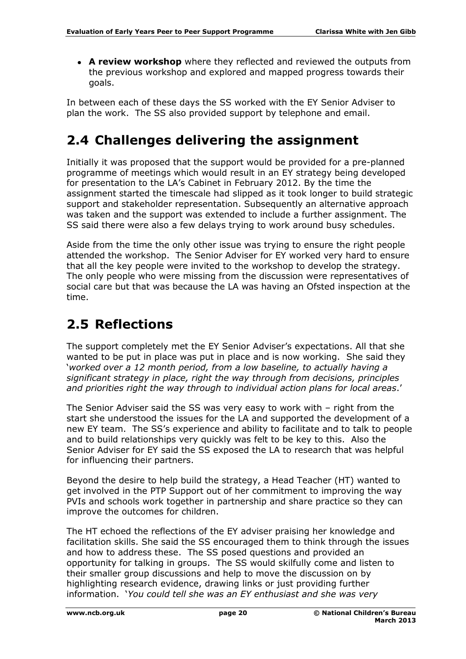**A review workshop** where they reflected and reviewed the outputs from the previous workshop and explored and mapped progress towards their goals.

In between each of these days the SS worked with the EY Senior Adviser to plan the work. The SS also provided support by telephone and email.

## <span id="page-19-0"></span>**2.4 Challenges delivering the assignment**

Initially it was proposed that the support would be provided for a pre-planned programme of meetings which would result in an EY strategy being developed for presentation to the LA's Cabinet in February 2012. By the time the assignment started the timescale had slipped as it took longer to build strategic support and stakeholder representation. Subsequently an alternative approach was taken and the support was extended to include a further assignment. The SS said there were also a few delays trying to work around busy schedules.

Aside from the time the only other issue was trying to ensure the right people attended the workshop. The Senior Adviser for EY worked very hard to ensure that all the key people were invited to the workshop to develop the strategy. The only people who were missing from the discussion were representatives of social care but that was because the LA was having an Ofsted inspection at the time.

## <span id="page-19-1"></span>**2.5 Reflections**

The support completely met the EY Senior Adviser's expectations. All that she wanted to be put in place was put in place and is now working. She said they '*worked over a 12 month period, from a low baseline, to actually having a significant strategy in place, right the way through from decisions, principles and priorities right the way through to individual action plans for local areas*.'

The Senior Adviser said the SS was very easy to work with – right from the start she understood the issues for the LA and supported the development of a new EY team. The SS's experience and ability to facilitate and to talk to people and to build relationships very quickly was felt to be key to this. Also the Senior Adviser for EY said the SS exposed the LA to research that was helpful for influencing their partners.

Beyond the desire to help build the strategy, a Head Teacher (HT) wanted to get involved in the PTP Support out of her commitment to improving the way PVIs and schools work together in partnership and share practice so they can improve the outcomes for children.

The HT echoed the reflections of the EY adviser praising her knowledge and facilitation skills. She said the SS encouraged them to think through the issues and how to address these. The SS posed questions and provided an opportunity for talking in groups. The SS would skilfully come and listen to their smaller group discussions and help to move the discussion on by highlighting research evidence, drawing links or just providing further information. '*You could tell she was an EY enthusiast and she was very*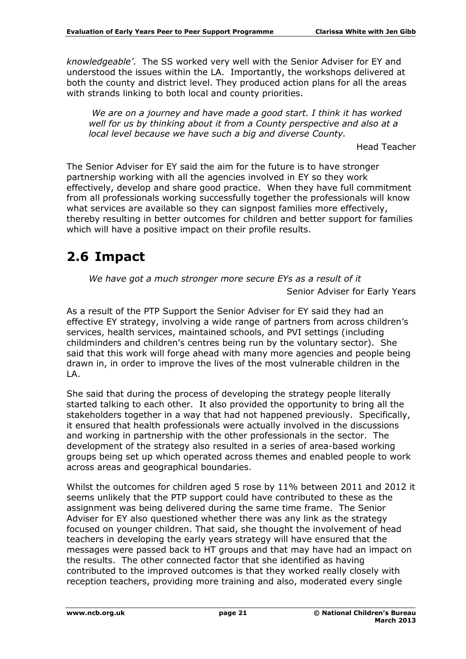*knowledgeable'*. The SS worked very well with the Senior Adviser for EY and understood the issues within the LA. Importantly, the workshops delivered at both the county and district level. They produced action plans for all the areas with strands linking to both local and county priorities.

*We are on a journey and have made a good start. I think it has worked well for us by thinking about it from a County perspective and also at a local level because we have such a big and diverse County.* 

Head Teacher

The Senior Adviser for EY said the aim for the future is to have stronger partnership working with all the agencies involved in EY so they work effectively, develop and share good practice. When they have full commitment from all professionals working successfully together the professionals will know what services are available so they can signpost families more effectively, thereby resulting in better outcomes for children and better support for families which will have a positive impact on their profile results.

## <span id="page-20-0"></span>**2.6 Impact**

*We have got a much stronger more secure EYs as a result of it* 

Senior Adviser for Early Years

As a result of the PTP Support the Senior Adviser for EY said they had an effective EY strategy, involving a wide range of partners from across children's services, health services, maintained schools, and PVI settings (including childminders and children's centres being run by the voluntary sector). She said that this work will forge ahead with many more agencies and people being drawn in, in order to improve the lives of the most vulnerable children in the  $\overline{A}$ .

She said that during the process of developing the strategy people literally started talking to each other. It also provided the opportunity to bring all the stakeholders together in a way that had not happened previously. Specifically, it ensured that health professionals were actually involved in the discussions and working in partnership with the other professionals in the sector. The development of the strategy also resulted in a series of area-based working groups being set up which operated across themes and enabled people to work across areas and geographical boundaries.

Whilst the outcomes for children aged 5 rose by 11% between 2011 and 2012 it seems unlikely that the PTP support could have contributed to these as the assignment was being delivered during the same time frame. The Senior Adviser for EY also questioned whether there was any link as the strategy focused on younger children. That said, she thought the involvement of head teachers in developing the early years strategy will have ensured that the messages were passed back to HT groups and that may have had an impact on the results. The other connected factor that she identified as having contributed to the improved outcomes is that they worked really closely with reception teachers, providing more training and also, moderated every single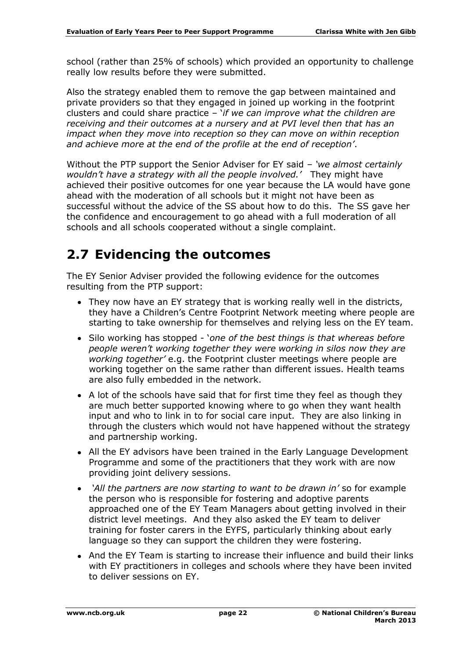school (rather than 25% of schools) which provided an opportunity to challenge really low results before they were submitted.

Also the strategy enabled them to remove the gap between maintained and private providers so that they engaged in joined up working in the footprint clusters and could share practice – '*if we can improve what the children are receiving and their outcomes at a nursery and at PVI level then that has an impact when they move into reception so they can move on within reception and achieve more at the end of the profile at the end of reception'*.

Without the PTP support the Senior Adviser for EY said *– 'we almost certainly wouldn't have a strategy with all the people involved.'* They might have achieved their positive outcomes for one year because the LA would have gone ahead with the moderation of all schools but it might not have been as successful without the advice of the SS about how to do this. The SS gave her the confidence and encouragement to go ahead with a full moderation of all schools and all schools cooperated without a single complaint.

### <span id="page-21-0"></span>**2.7 Evidencing the outcomes**

The EY Senior Adviser provided the following evidence for the outcomes resulting from the PTP support:

- They now have an EY strategy that is working really well in the districts, they have a Children's Centre Footprint Network meeting where people are starting to take ownership for themselves and relying less on the EY team.
- Silo working has stopped '*one of the best things is that whereas before people weren't working together they were working in silos now they are working together'* e.g. the Footprint cluster meetings where people are working together on the same rather than different issues. Health teams are also fully embedded in the network.
- A lot of the schools have said that for first time they feel as though they are much better supported knowing where to go when they want health input and who to link in to for social care input. They are also linking in through the clusters which would not have happened without the strategy and partnership working.
- All the EY advisors have been trained in the Early Language Development Programme and some of the practitioners that they work with are now providing joint delivery sessions.
- *'All the partners are now starting to want to be drawn in'* so for example the person who is responsible for fostering and adoptive parents approached one of the EY Team Managers about getting involved in their district level meetings. And they also asked the EY team to deliver training for foster carers in the EYFS, particularly thinking about early language so they can support the children they were fostering.
- And the EY Team is starting to increase their influence and build their links with EY practitioners in colleges and schools where they have been invited to deliver sessions on EY.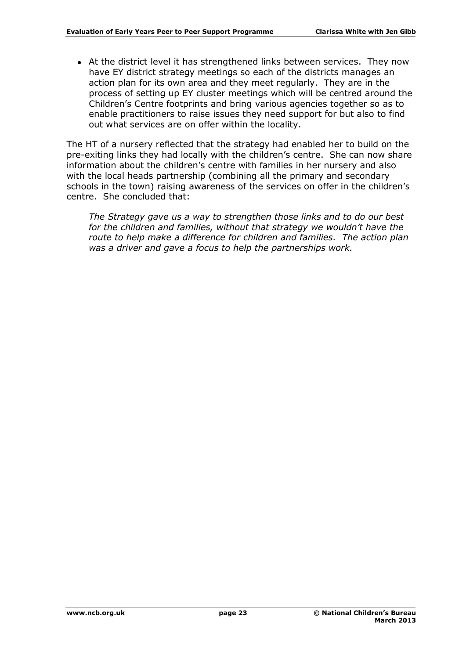• At the district level it has strengthened links between services. They now have EY district strategy meetings so each of the districts manages an action plan for its own area and they meet regularly. They are in the process of setting up EY cluster meetings which will be centred around the Children's Centre footprints and bring various agencies together so as to enable practitioners to raise issues they need support for but also to find out what services are on offer within the locality.

The HT of a nursery reflected that the strategy had enabled her to build on the pre-exiting links they had locally with the children's centre. She can now share information about the children's centre with families in her nursery and also with the local heads partnership (combining all the primary and secondary schools in the town) raising awareness of the services on offer in the children's centre. She concluded that:

*The Strategy gave us a way to strengthen those links and to do our best for the children and families, without that strategy we wouldn't have the route to help make a difference for children and families. The action plan was a driver and gave a focus to help the partnerships work.*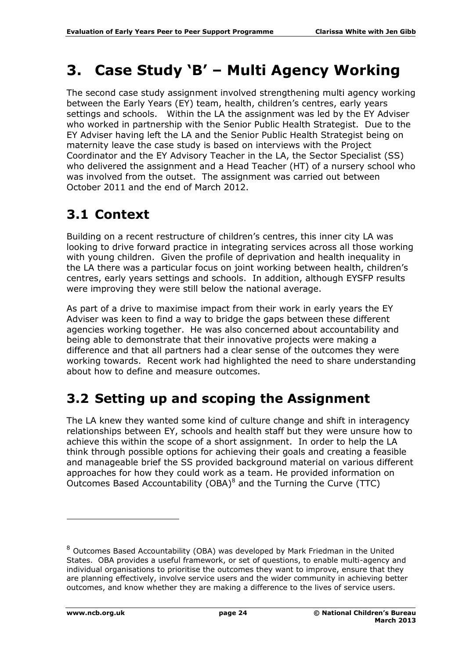# <span id="page-23-0"></span>**3. Case Study 'B' – Multi Agency Working**

The second case study assignment involved strengthening multi agency working between the Early Years (EY) team, health, children's centres, early years settings and schools. Within the LA the assignment was led by the EY Adviser who worked in partnership with the Senior Public Health Strategist. Due to the EY Adviser having left the LA and the Senior Public Health Strategist being on maternity leave the case study is based on interviews with the Project Coordinator and the EY Advisory Teacher in the LA, the Sector Specialist (SS) who delivered the assignment and a Head Teacher (HT) of a nursery school who was involved from the outset. The assignment was carried out between October 2011 and the end of March 2012.

## <span id="page-23-1"></span>**3.1 Context**

Building on a recent restructure of children's centres, this inner city LA was looking to drive forward practice in integrating services across all those working with young children. Given the profile of deprivation and health inequality in the LA there was a particular focus on joint working between health, children's centres, early years settings and schools. In addition, although EYSFP results were improving they were still below the national average.

As part of a drive to maximise impact from their work in early years the EY Adviser was keen to find a way to bridge the gaps between these different agencies working together. He was also concerned about accountability and being able to demonstrate that their innovative projects were making a difference and that all partners had a clear sense of the outcomes they were working towards. Recent work had highlighted the need to share understanding about how to define and measure outcomes.

## <span id="page-23-2"></span>**3.2 Setting up and scoping the Assignment**

The LA knew they wanted some kind of culture change and shift in interagency relationships between EY, schools and health staff but they were unsure how to achieve this within the scope of a short assignment. In order to help the LA think through possible options for achieving their goals and creating a feasible and manageable brief the SS provided background material on various different approaches for how they could work as a team. He provided information on Outcomes Based Accountability (OBA) $^8$  and the Turning the Curve (TTC)

-

<sup>8</sup> Outcomes Based Accountability (OBA) was developed by Mark Friedman in the United States. OBA provides a useful framework, or set of questions, to enable multi-agency and individual organisations to prioritise the outcomes they want to improve, ensure that they are planning effectively, involve service users and the wider community in achieving better outcomes, and know whether they are making a difference to the lives of service users.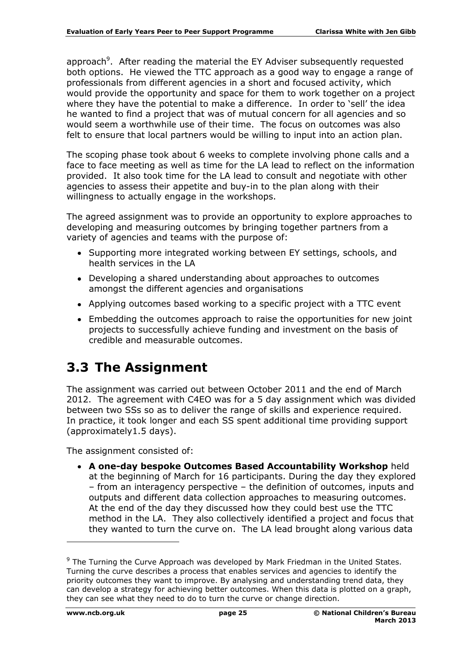approach<sup>9</sup>. After reading the material the EY Adviser subsequently requested both options. He viewed the TTC approach as a good way to engage a range of professionals from different agencies in a short and focused activity, which would provide the opportunity and space for them to work together on a project where they have the potential to make a difference. In order to 'sell' the idea he wanted to find a project that was of mutual concern for all agencies and so would seem a worthwhile use of their time. The focus on outcomes was also felt to ensure that local partners would be willing to input into an action plan.

The scoping phase took about 6 weeks to complete involving phone calls and a face to face meeting as well as time for the LA lead to reflect on the information provided. It also took time for the LA lead to consult and negotiate with other agencies to assess their appetite and buy-in to the plan along with their willingness to actually engage in the workshops.

The agreed assignment was to provide an opportunity to explore approaches to developing and measuring outcomes by bringing together partners from a variety of agencies and teams with the purpose of:

- Supporting more integrated working between EY settings, schools, and health services in the LA
- Developing a shared understanding about approaches to outcomes amongst the different agencies and organisations
- Applying outcomes based working to a specific project with a TTC event
- Embedding the outcomes approach to raise the opportunities for new joint projects to successfully achieve funding and investment on the basis of credible and measurable outcomes.

## <span id="page-24-0"></span>**3.3 The Assignment**

The assignment was carried out between October 2011 and the end of March 2012. The agreement with C4EO was for a 5 day assignment which was divided between two SSs so as to deliver the range of skills and experience required. In practice, it took longer and each SS spent additional time providing support (approximately1.5 days).

The assignment consisted of:

**A one-day bespoke Outcomes Based Accountability Workshop** held at the beginning of March for 16 participants. During the day they explored – from an interagency perspective – the definition of outcomes, inputs and outputs and different data collection approaches to measuring outcomes. At the end of the day they discussed how they could best use the TTC method in the LA. They also collectively identified a project and focus that they wanted to turn the curve on. The LA lead brought along various data

-

<sup>&</sup>lt;sup>9</sup> The Turning the Curve Approach was developed by Mark Friedman in the United States. Turning the curve describes a process that enables services and agencies to identify the priority outcomes they want to improve. By analysing and understanding trend data, they can develop a strategy for achieving better outcomes. When this data is plotted on a graph, they can see what they need to do to turn the curve or change direction.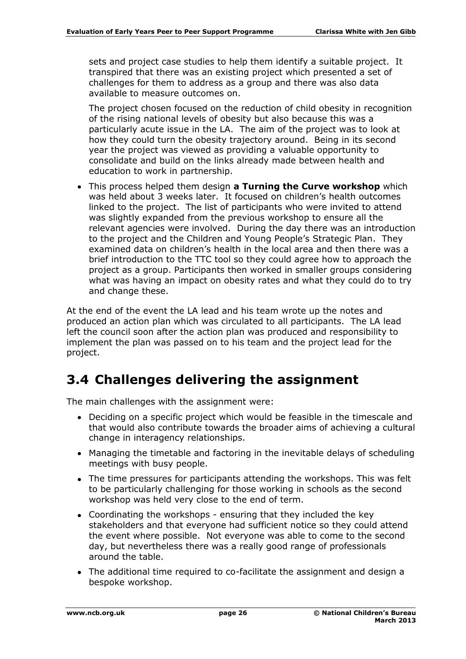sets and project case studies to help them identify a suitable project. It transpired that there was an existing project which presented a set of challenges for them to address as a group and there was also data available to measure outcomes on.

The project chosen focused on the reduction of child obesity in recognition of the rising national levels of obesity but also because this was a particularly acute issue in the LA. The aim of the project was to look at how they could turn the obesity trajectory around. Being in its second year the project was viewed as providing a valuable opportunity to consolidate and build on the links already made between health and education to work in partnership.

This process helped them design **a Turning the Curve workshop** which was held about 3 weeks later. It focused on children's health outcomes linked to the project. The list of participants who were invited to attend was slightly expanded from the previous workshop to ensure all the relevant agencies were involved. During the day there was an introduction to the project and the Children and Young People's Strategic Plan. They examined data on children's health in the local area and then there was a brief introduction to the TTC tool so they could agree how to approach the project as a group. Participants then worked in smaller groups considering what was having an impact on obesity rates and what they could do to try and change these.

At the end of the event the LA lead and his team wrote up the notes and produced an action plan which was circulated to all participants. The LA lead left the council soon after the action plan was produced and responsibility to implement the plan was passed on to his team and the project lead for the project.

## <span id="page-25-0"></span>**3.4 Challenges delivering the assignment**

The main challenges with the assignment were:

- Deciding on a specific project which would be feasible in the timescale and that would also contribute towards the broader aims of achieving a cultural change in interagency relationships.
- Managing the timetable and factoring in the inevitable delays of scheduling meetings with busy people.
- The time pressures for participants attending the workshops. This was felt to be particularly challenging for those working in schools as the second workshop was held very close to the end of term.
- Coordinating the workshops ensuring that they included the key stakeholders and that everyone had sufficient notice so they could attend the event where possible. Not everyone was able to come to the second day, but nevertheless there was a really good range of professionals around the table.
- The additional time required to co-facilitate the assignment and design a bespoke workshop.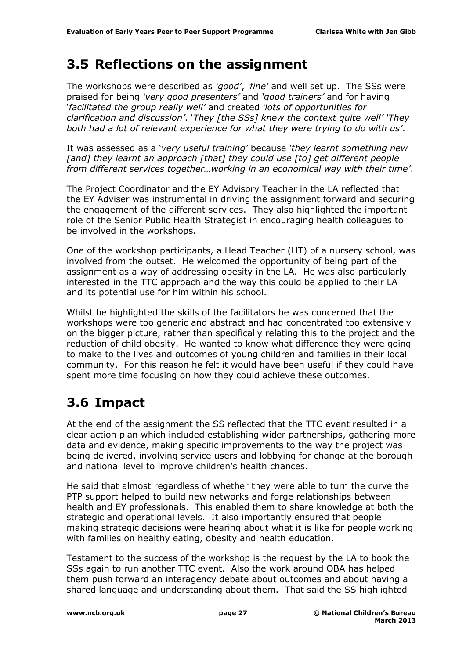### <span id="page-26-0"></span>**3.5 Reflections on the assignment**

The workshops were described as *'good'*, *'fine'* and well set up. The SSs were praised for being *'very good presenters'* and *'good trainers'* and for having '*facilitated the group really well'* and created *'lots of opportunities for clarification and discussion'*. '*They [the SSs] knew the context quite well' 'They both had a lot of relevant experience for what they were trying to do with us'*.

It was assessed as a '*very useful training'* because *'they learnt something new*  [and] they learnt an approach [that] they could use [to] get different people *from different services together…working in an economical way with their time'*.

The Project Coordinator and the EY Advisory Teacher in the LA reflected that the EY Adviser was instrumental in driving the assignment forward and securing the engagement of the different services. They also highlighted the important role of the Senior Public Health Strategist in encouraging health colleagues to be involved in the workshops.

One of the workshop participants, a Head Teacher (HT) of a nursery school, was involved from the outset. He welcomed the opportunity of being part of the assignment as a way of addressing obesity in the LA. He was also particularly interested in the TTC approach and the way this could be applied to their LA and its potential use for him within his school.

Whilst he highlighted the skills of the facilitators he was concerned that the workshops were too generic and abstract and had concentrated too extensively on the bigger picture, rather than specifically relating this to the project and the reduction of child obesity. He wanted to know what difference they were going to make to the lives and outcomes of young children and families in their local community. For this reason he felt it would have been useful if they could have spent more time focusing on how they could achieve these outcomes.

## <span id="page-26-1"></span>**3.6 Impact**

At the end of the assignment the SS reflected that the TTC event resulted in a clear action plan which included establishing wider partnerships, gathering more data and evidence, making specific improvements to the way the project was being delivered, involving service users and lobbying for change at the borough and national level to improve children's health chances.

He said that almost regardless of whether they were able to turn the curve the PTP support helped to build new networks and forge relationships between health and EY professionals. This enabled them to share knowledge at both the strategic and operational levels. It also importantly ensured that people making strategic decisions were hearing about what it is like for people working with families on healthy eating, obesity and health education.

Testament to the success of the workshop is the request by the LA to book the SSs again to run another TTC event. Also the work around OBA has helped them push forward an interagency debate about outcomes and about having a shared language and understanding about them. That said the SS highlighted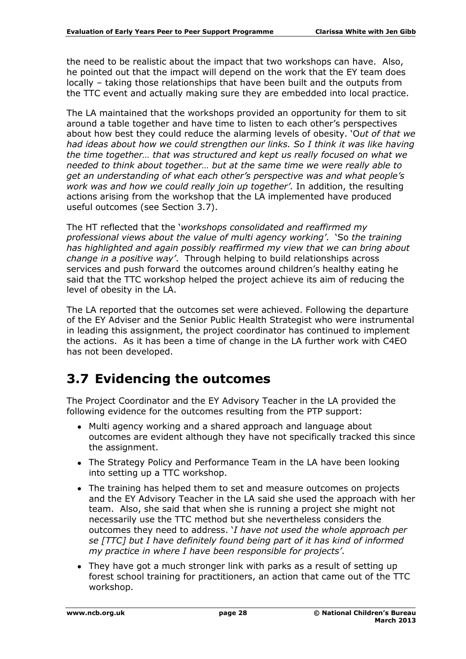the need to be realistic about the impact that two workshops can have. Also, he pointed out that the impact will depend on the work that the EY team does locally – taking those relationships that have been built and the outputs from the TTC event and actually making sure they are embedded into local practice.

The LA maintained that the workshops provided an opportunity for them to sit around a table together and have time to listen to each other's perspectives about how best they could reduce the alarming levels of obesity. 'O*ut of that we*  had ideas about how we could strengthen our links. So I think it was like having *the time together… that was structured and kept us really focused on what we needed to think about together… but at the same time we were really able to get an understanding of what each other's perspective was and what people's work was and how we could really join up together'.* In addition, the resulting actions arising from the workshop that the LA implemented have produced useful outcomes (see Section 3.7).

The HT reflected that the '*workshops consolidated and reaffirmed my professional views about the value of multi agency working'*. 'So *the training has highlighted and again possibly reaffirmed my view that we can bring about change in a positive way'*. Through helping to build relationships across services and push forward the outcomes around children's healthy eating he said that the TTC workshop helped the project achieve its aim of reducing the level of obesity in the LA.

The LA reported that the outcomes set were achieved. Following the departure of the EY Adviser and the Senior Public Health Strategist who were instrumental in leading this assignment, the project coordinator has continued to implement the actions. As it has been a time of change in the LA further work with C4EO has not been developed.

### <span id="page-27-0"></span>**3.7 Evidencing the outcomes**

The Project Coordinator and the EY Advisory Teacher in the LA provided the following evidence for the outcomes resulting from the PTP support:

- Multi agency working and a shared approach and language about outcomes are evident although they have not specifically tracked this since the assignment.
- The Strategy Policy and Performance Team in the LA have been looking into setting up a TTC workshop.
- The training has helped them to set and measure outcomes on projects and the EY Advisory Teacher in the LA said she used the approach with her team. Also, she said that when she is running a project she might not necessarily use the TTC method but she nevertheless considers the outcomes they need to address. '*I have not used the whole approach per se [TTC] but I have definitely found being part of it has kind of informed my practice in where I have been responsible for projects'*.
- They have got a much stronger link with parks as a result of setting up forest school training for practitioners, an action that came out of the TTC workshop.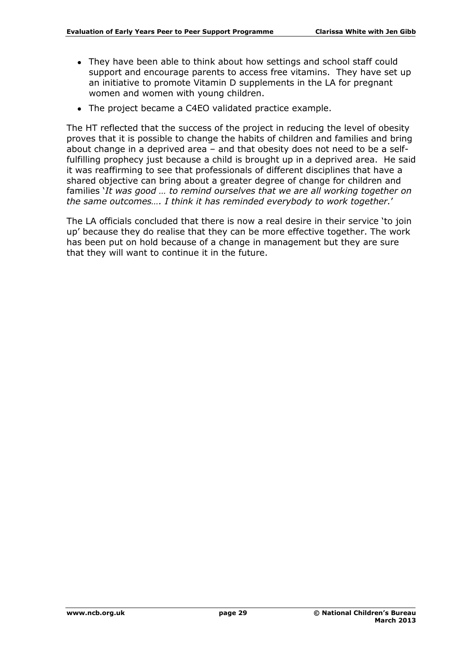- They have been able to think about how settings and school staff could support and encourage parents to access free vitamins. They have set up an initiative to promote Vitamin D supplements in the LA for pregnant women and women with young children.
- The project became a C4EO validated practice example.

The HT reflected that the success of the project in reducing the level of obesity proves that it is possible to change the habits of children and families and bring about change in a deprived area – and that obesity does not need to be a selffulfilling prophecy just because a child is brought up in a deprived area. He said it was reaffirming to see that professionals of different disciplines that have a shared objective can bring about a greater degree of change for children and families '*It was good … to remind ourselves that we are all working together on the same outcomes…. I think it has reminded everybody to work together.*'

The LA officials concluded that there is now a real desire in their service 'to join up' because they do realise that they can be more effective together. The work has been put on hold because of a change in management but they are sure that they will want to continue it in the future.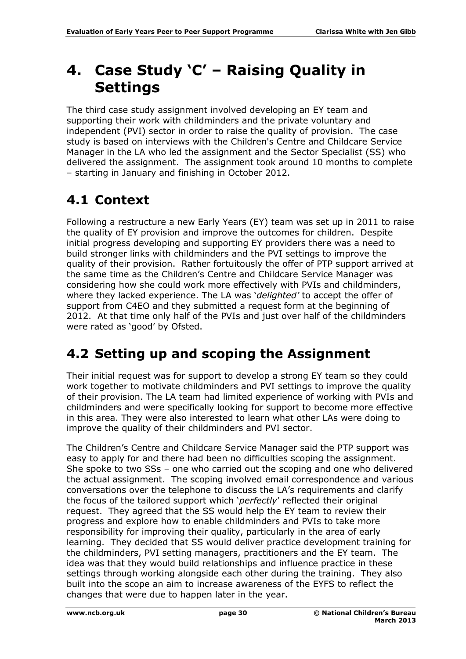# <span id="page-29-0"></span>**4. Case Study 'C' – Raising Quality in Settings**

The third case study assignment involved developing an EY team and supporting their work with childminders and the private voluntary and independent (PVI) sector in order to raise the quality of provision. The case study is based on interviews with the Children's Centre and Childcare Service Manager in the LA who led the assignment and the Sector Specialist (SS) who delivered the assignment. The assignment took around 10 months to complete – starting in January and finishing in October 2012.

## <span id="page-29-1"></span>**4.1 Context**

Following a restructure a new Early Years (EY) team was set up in 2011 to raise the quality of EY provision and improve the outcomes for children. Despite initial progress developing and supporting EY providers there was a need to build stronger links with childminders and the PVI settings to improve the quality of their provision. Rather fortuitously the offer of PTP support arrived at the same time as the Children's Centre and Childcare Service Manager was considering how she could work more effectively with PVIs and childminders, where they lacked experience. The LA was '*delighted'* to accept the offer of support from C4EO and they submitted a request form at the beginning of 2012. At that time only half of the PVIs and just over half of the childminders were rated as 'good' by Ofsted.

## <span id="page-29-2"></span>**4.2 Setting up and scoping the Assignment**

Their initial request was for support to develop a strong EY team so they could work together to motivate childminders and PVI settings to improve the quality of their provision. The LA team had limited experience of working with PVIs and childminders and were specifically looking for support to become more effective in this area. They were also interested to learn what other LAs were doing to improve the quality of their childminders and PVI sector.

The Children's Centre and Childcare Service Manager said the PTP support was easy to apply for and there had been no difficulties scoping the assignment. She spoke to two SSs – one who carried out the scoping and one who delivered the actual assignment. The scoping involved email correspondence and various conversations over the telephone to discuss the LA's requirements and clarify the focus of the tailored support which '*perfectly*' reflected their original request. They agreed that the SS would help the EY team to review their progress and explore how to enable childminders and PVIs to take more responsibility for improving their quality, particularly in the area of early learning. They decided that SS would deliver practice development training for the childminders, PVI setting managers, practitioners and the EY team. The idea was that they would build relationships and influence practice in these settings through working alongside each other during the training. They also built into the scope an aim to increase awareness of the EYFS to reflect the changes that were due to happen later in the year.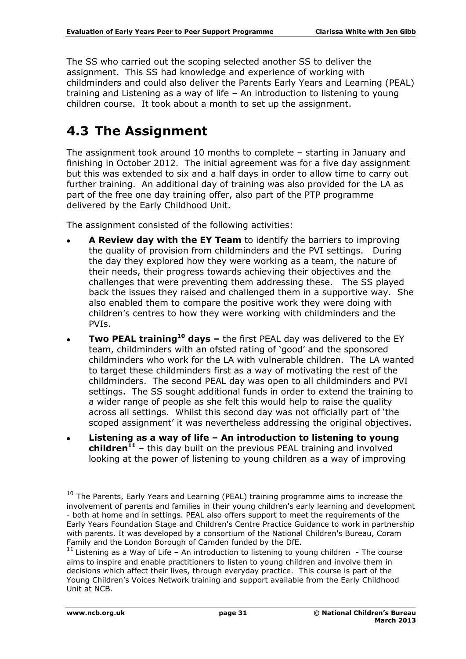The SS who carried out the scoping selected another SS to deliver the assignment. This SS had knowledge and experience of working with childminders and could also deliver the Parents Early Years and Learning (PEAL) training and Listening as a way of life – An introduction to listening to young children course. It took about a month to set up the assignment.

## <span id="page-30-0"></span>**4.3 The Assignment**

The assignment took around 10 months to complete – starting in January and finishing in October 2012. The initial agreement was for a five day assignment but this was extended to six and a half days in order to allow time to carry out further training. An additional day of training was also provided for the LA as part of the free one day training offer, also part of the PTP programme delivered by the Early Childhood Unit.

The assignment consisted of the following activities:

- **A Review day with the EY Team** to identify the barriers to improving the quality of provision from childminders and the PVI settings. During the day they explored how they were working as a team, the nature of their needs, their progress towards achieving their objectives and the challenges that were preventing them addressing these. The SS played back the issues they raised and challenged them in a supportive way. She also enabled them to compare the positive work they were doing with children's centres to how they were working with childminders and the PVIs.
- **Two PEAL training<sup>10</sup> days –** the first PEAL day was delivered to the EY  $\bullet$ team, childminders with an ofsted rating of 'good' and the sponsored childminders who work for the LA with vulnerable children. The LA wanted to target these childminders first as a way of motivating the rest of the childminders. The second PEAL day was open to all childminders and PVI settings. The SS sought additional funds in order to extend the training to a wider range of people as she felt this would help to raise the quality across all settings. Whilst this second day was not officially part of 'the scoped assignment' it was nevertheless addressing the original objectives.
- **Listening as a way of life – An introduction to listening to young children<sup>11</sup>** – this day built on the previous PEAL training and involved looking at the power of listening to young children as a way of improving

-

 $10$  The Parents, Early Years and Learning (PEAL) training programme aims to increase the involvement of parents and families in their young children's early learning and development - both at home and in settings. PEAL also offers support to meet the requirements of the Early Years Foundation Stage and Children's Centre Practice Guidance to work in partnership with parents. It was developed by a consortium of the National Children's Bureau, Coram Family and the London Borough of Camden funded by the DfE.

 $11$  Listening as a Way of Life – An introduction to listening to young children - The course aims to inspire and enable practitioners to listen to young children and involve them in decisions which affect their lives, through everyday practice. This course is part of the Young Children's Voices Network training and support available from the Early Childhood Unit at NCB.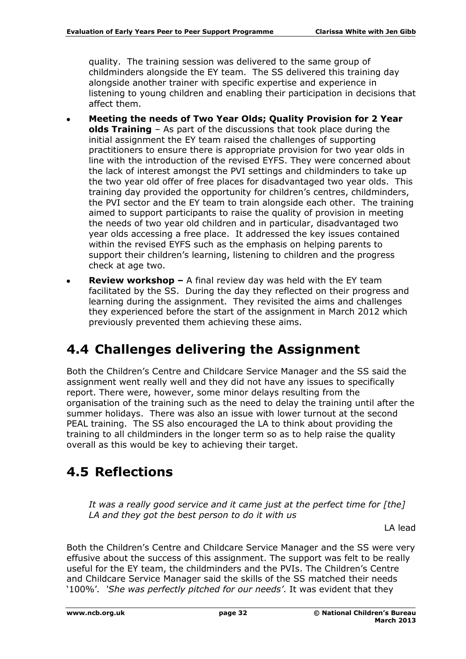quality. The training session was delivered to the same group of childminders alongside the EY team. The SS delivered this training day alongside another trainer with specific expertise and experience in listening to young children and enabling their participation in decisions that affect them.

- **Meeting the needs of Two Year Olds; Quality Provision for 2 Year olds Training** – As part of the discussions that took place during the initial assignment the EY team raised the challenges of supporting practitioners to ensure there is appropriate provision for two year olds in line with the introduction of the revised EYFS. They were concerned about the lack of interest amongst the PVI settings and childminders to take up the two year old offer of free places for disadvantaged two year olds. This training day provided the opportunity for children's centres, childminders, the PVI sector and the EY team to train alongside each other. The training aimed to support participants to raise the quality of provision in meeting the needs of two year old children and in particular, disadvantaged two year olds accessing a free place. It addressed the key issues contained within the revised EYFS such as the emphasis on helping parents to support their children's learning, listening to children and the progress check at age two.
- **Review workshop –** A final review day was held with the EY team facilitated by the SS. During the day they reflected on their progress and learning during the assignment. They revisited the aims and challenges they experienced before the start of the assignment in March 2012 which previously prevented them achieving these aims.

## <span id="page-31-0"></span>**4.4 Challenges delivering the Assignment**

Both the Children's Centre and Childcare Service Manager and the SS said the assignment went really well and they did not have any issues to specifically report. There were, however, some minor delays resulting from the organisation of the training such as the need to delay the training until after the summer holidays. There was also an issue with lower turnout at the second PEAL training. The SS also encouraged the LA to think about providing the training to all childminders in the longer term so as to help raise the quality overall as this would be key to achieving their target.

## <span id="page-31-1"></span>**4.5 Reflections**

*It was a really good service and it came just at the perfect time for [the] LA and they got the best person to do it with us*

LA lead

Both the Children's Centre and Childcare Service Manager and the SS were very effusive about the success of this assignment. The support was felt to be really useful for the EY team, the childminders and the PVIs. The Children's Centre and Childcare Service Manager said the skills of the SS matched their needs '100%'*. 'She was perfectly pitched for our needs'*. It was evident that they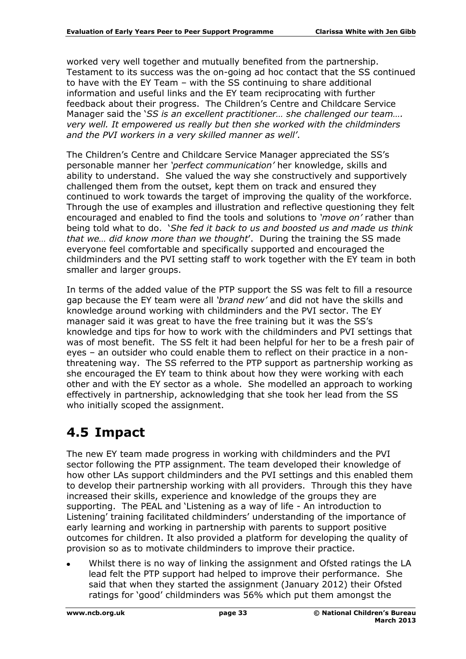worked very well together and mutually benefited from the partnership. Testament to its success was the on-going ad hoc contact that the SS continued to have with the EY Team – with the SS continuing to share additional information and useful links and the EY team reciprocating with further feedback about their progress. The Children's Centre and Childcare Service Manager said the '*SS is an excellent practitioner… she challenged our team…. very well. It empowered us really but then she worked with the childminders and the PVI workers in a very skilled manner as well'*.

The Children's Centre and Childcare Service Manager appreciated the SS's personable manner her *'perfect communication'* her knowledge, skills and ability to understand. She valued the way she constructively and supportively challenged them from the outset, kept them on track and ensured they continued to work towards the target of improving the quality of the workforce. Through the use of examples and illustration and reflective questioning they felt encouraged and enabled to find the tools and solutions to *'move on'* rather than being told what to do. '*She fed it back to us and boosted us and made us think that we… did know more than we thought*'. During the training the SS made everyone feel comfortable and specifically supported and encouraged the childminders and the PVI setting staff to work together with the EY team in both smaller and larger groups.

In terms of the added value of the PTP support the SS was felt to fill a resource gap because the EY team were all *'brand new'* and did not have the skills and knowledge around working with childminders and the PVI sector. The EY manager said it was great to have the free training but it was the SS's knowledge and tips for how to work with the childminders and PVI settings that was of most benefit. The SS felt it had been helpful for her to be a fresh pair of eyes – an outsider who could enable them to reflect on their practice in a nonthreatening way. The SS referred to the PTP support as partnership working as she encouraged the EY team to think about how they were working with each other and with the EY sector as a whole. She modelled an approach to working effectively in partnership, acknowledging that she took her lead from the SS who initially scoped the assignment.

### <span id="page-32-0"></span>**4.5 Impact**

The new EY team made progress in working with childminders and the PVI sector following the PTP assignment. The team developed their knowledge of how other LAs support childminders and the PVI settings and this enabled them to develop their partnership working with all providers. Through this they have increased their skills, experience and knowledge of the groups they are supporting. The PEAL and 'Listening as a way of life - An introduction to Listening' training facilitated childminders' understanding of the importance of early learning and working in partnership with parents to support positive outcomes for children. It also provided a platform for developing the quality of provision so as to motivate childminders to improve their practice.

Whilst there is no way of linking the assignment and Ofsted ratings the LA lead felt the PTP support had helped to improve their performance. She said that when they started the assignment (January 2012) their Ofsted ratings for 'good' childminders was 56% which put them amongst the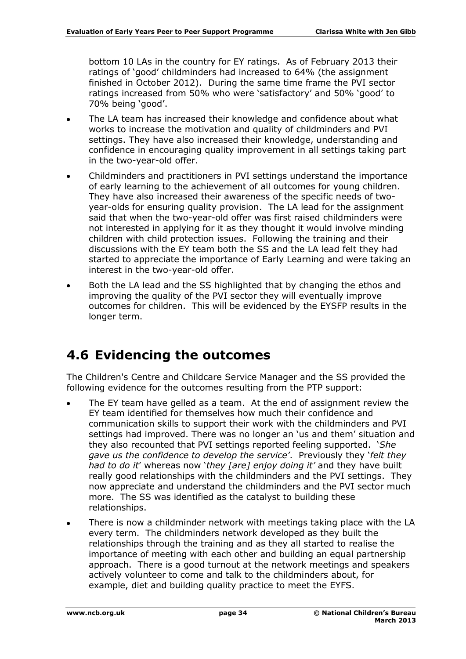bottom 10 LAs in the country for EY ratings. As of February 2013 their ratings of 'good' childminders had increased to 64% (the assignment finished in October 2012). During the same time frame the PVI sector ratings increased from 50% who were 'satisfactory' and 50% 'good' to 70% being 'good'.

- The LA team has increased their knowledge and confidence about what works to increase the motivation and quality of childminders and PVI settings. They have also increased their knowledge, understanding and confidence in encouraging quality improvement in all settings taking part in the two-year-old offer.
- Childminders and practitioners in PVI settings understand the importance of early learning to the achievement of all outcomes for young children. They have also increased their awareness of the specific needs of twoyear-olds for ensuring quality provision. The LA lead for the assignment said that when the two-year-old offer was first raised childminders were not interested in applying for it as they thought it would involve minding children with child protection issues. Following the training and their discussions with the EY team both the SS and the LA lead felt they had started to appreciate the importance of Early Learning and were taking an interest in the two-year-old offer.
- Both the LA lead and the SS highlighted that by changing the ethos and improving the quality of the PVI sector they will eventually improve outcomes for children. This will be evidenced by the EYSFP results in the longer term.

### <span id="page-33-0"></span>**4.6 Evidencing the outcomes**

The Children's Centre and Childcare Service Manager and the SS provided the following evidence for the outcomes resulting from the PTP support:

- The EY team have gelled as a team. At the end of assignment review the EY team identified for themselves how much their confidence and communication skills to support their work with the childminders and PVI settings had improved. There was no longer an 'us and them' situation and they also recounted that PVI settings reported feeling supported. '*She gave us the confidence to develop the service'*. Previously they '*felt they had to do it*' whereas now '*they [are] enjoy doing it'* and they have built really good relationships with the childminders and the PVI settings. They now appreciate and understand the childminders and the PVI sector much more. The SS was identified as the catalyst to building these relationships.
- There is now a childminder network with meetings taking place with the LA  $\bullet$ every term. The childminders network developed as they built the relationships through the training and as they all started to realise the importance of meeting with each other and building an equal partnership approach. There is a good turnout at the network meetings and speakers actively volunteer to come and talk to the childminders about, for example, diet and building quality practice to meet the EYFS.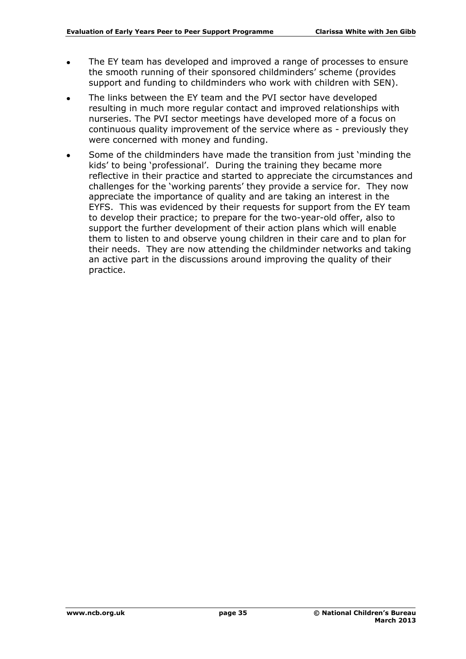- The EY team has developed and improved a range of processes to ensure  $\bullet$ the smooth running of their sponsored childminders' scheme (provides support and funding to childminders who work with children with SEN).
- The links between the EY team and the PVI sector have developed resulting in much more regular contact and improved relationships with nurseries. The PVI sector meetings have developed more of a focus on continuous quality improvement of the service where as - previously they were concerned with money and funding.
- Some of the childminders have made the transition from just 'minding the kids' to being 'professional'. During the training they became more reflective in their practice and started to appreciate the circumstances and challenges for the 'working parents' they provide a service for. They now appreciate the importance of quality and are taking an interest in the EYFS. This was evidenced by their requests for support from the EY team to develop their practice; to prepare for the two-year-old offer, also to support the further development of their action plans which will enable them to listen to and observe young children in their care and to plan for their needs. They are now attending the childminder networks and taking an active part in the discussions around improving the quality of their practice.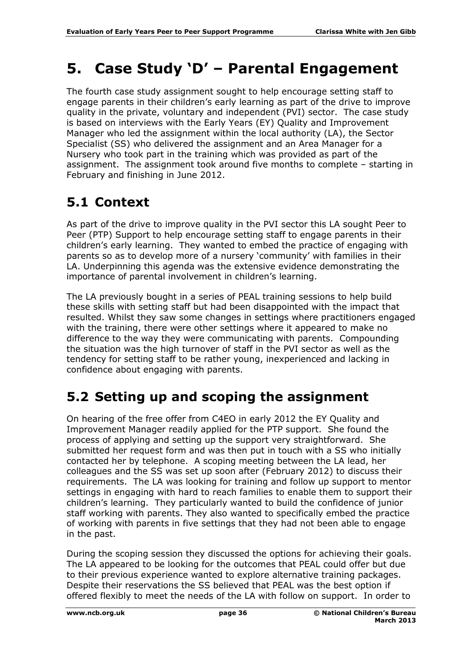# <span id="page-35-0"></span>**5. Case Study 'D' – Parental Engagement**

The fourth case study assignment sought to help encourage setting staff to engage parents in their children's early learning as part of the drive to improve quality in the private, voluntary and independent (PVI) sector. The case study is based on interviews with the Early Years (EY) Quality and Improvement Manager who led the assignment within the local authority (LA), the Sector Specialist (SS) who delivered the assignment and an Area Manager for a Nursery who took part in the training which was provided as part of the assignment. The assignment took around five months to complete – starting in February and finishing in June 2012.

## <span id="page-35-1"></span>**5.1 Context**

As part of the drive to improve quality in the PVI sector this LA sought Peer to Peer (PTP) Support to help encourage setting staff to engage parents in their children's early learning. They wanted to embed the practice of engaging with parents so as to develop more of a nursery 'community' with families in their LA. Underpinning this agenda was the extensive evidence demonstrating the importance of parental involvement in children's learning.

The LA previously bought in a series of PEAL training sessions to help build these skills with setting staff but had been disappointed with the impact that resulted. Whilst they saw some changes in settings where practitioners engaged with the training, there were other settings where it appeared to make no difference to the way they were communicating with parents. Compounding the situation was the high turnover of staff in the PVI sector as well as the tendency for setting staff to be rather young, inexperienced and lacking in confidence about engaging with parents.

## <span id="page-35-2"></span>**5.2 Setting up and scoping the assignment**

On hearing of the free offer from C4EO in early 2012 the EY Quality and Improvement Manager readily applied for the PTP support. She found the process of applying and setting up the support very straightforward. She submitted her request form and was then put in touch with a SS who initially contacted her by telephone. A scoping meeting between the LA lead, her colleagues and the SS was set up soon after (February 2012) to discuss their requirements. The LA was looking for training and follow up support to mentor settings in engaging with hard to reach families to enable them to support their children's learning. They particularly wanted to build the confidence of junior staff working with parents. They also wanted to specifically embed the practice of working with parents in five settings that they had not been able to engage in the past.

During the scoping session they discussed the options for achieving their goals. The LA appeared to be looking for the outcomes that PEAL could offer but due to their previous experience wanted to explore alternative training packages. Despite their reservations the SS believed that PEAL was the best option if offered flexibly to meet the needs of the LA with follow on support. In order to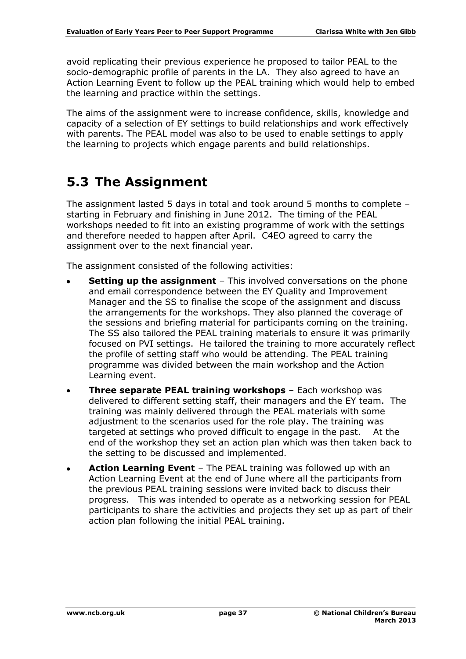avoid replicating their previous experience he proposed to tailor PEAL to the socio-demographic profile of parents in the LA. They also agreed to have an Action Learning Event to follow up the PEAL training which would help to embed the learning and practice within the settings.

The aims of the assignment were to increase confidence, skills, knowledge and capacity of a selection of EY settings to build relationships and work effectively with parents. The PEAL model was also to be used to enable settings to apply the learning to projects which engage parents and build relationships.

### <span id="page-36-0"></span>**5.3 The Assignment**

The assignment lasted 5 days in total and took around 5 months to complete – starting in February and finishing in June 2012. The timing of the PEAL workshops needed to fit into an existing programme of work with the settings and therefore needed to happen after April. C4EO agreed to carry the assignment over to the next financial year.

The assignment consisted of the following activities:

- **Setting up the assignment** This involved conversations on the phone and email correspondence between the EY Quality and Improvement Manager and the SS to finalise the scope of the assignment and discuss the arrangements for the workshops. They also planned the coverage of the sessions and briefing material for participants coming on the training. The SS also tailored the PEAL training materials to ensure it was primarily focused on PVI settings. He tailored the training to more accurately reflect the profile of setting staff who would be attending. The PEAL training programme was divided between the main workshop and the Action Learning event.
- **Three separate PEAL training workshops**  Each workshop was  $\bullet$ delivered to different setting staff, their managers and the EY team. The training was mainly delivered through the PEAL materials with some adjustment to the scenarios used for the role play. The training was targeted at settings who proved difficult to engage in the past. At the end of the workshop they set an action plan which was then taken back to the setting to be discussed and implemented.
- **Action Learning Event** The PEAL training was followed up with an Action Learning Event at the end of June where all the participants from the previous PEAL training sessions were invited back to discuss their progress. This was intended to operate as a networking session for PEAL participants to share the activities and projects they set up as part of their action plan following the initial PEAL training.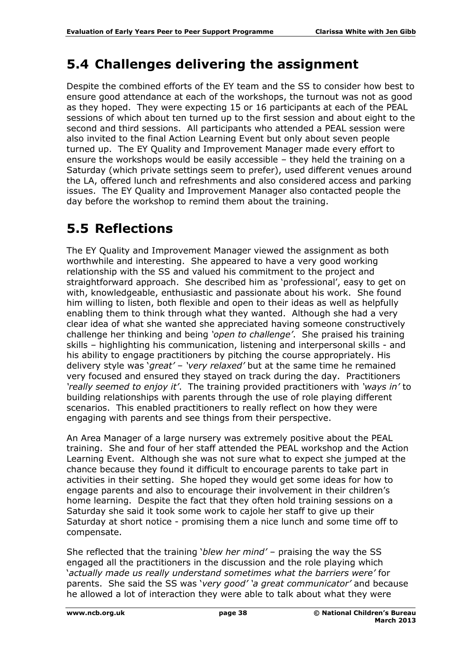### <span id="page-37-0"></span>**5.4 Challenges delivering the assignment**

Despite the combined efforts of the EY team and the SS to consider how best to ensure good attendance at each of the workshops, the turnout was not as good as they hoped. They were expecting 15 or 16 participants at each of the PEAL sessions of which about ten turned up to the first session and about eight to the second and third sessions. All participants who attended a PEAL session were also invited to the final Action Learning Event but only about seven people turned up. The EY Quality and Improvement Manager made every effort to ensure the workshops would be easily accessible – they held the training on a Saturday (which private settings seem to prefer), used different venues around the LA, offered lunch and refreshments and also considered access and parking issues. The EY Quality and Improvement Manager also contacted people the day before the workshop to remind them about the training.

## <span id="page-37-1"></span>**5.5 Reflections**

The EY Quality and Improvement Manager viewed the assignment as both worthwhile and interesting. She appeared to have a very good working relationship with the SS and valued his commitment to the project and straightforward approach. She described him as 'professional', easy to get on with, knowledgeable, enthusiastic and passionate about his work. She found him willing to listen, both flexible and open to their ideas as well as helpfully enabling them to think through what they wanted. Although she had a very clear idea of what she wanted she appreciated having someone constructively challenge her thinking and being *'open to challenge'*. She praised his training skills – highlighting his communication, listening and interpersonal skills - and his ability to engage practitioners by pitching the course appropriately. His delivery style was '*great'* – *'very relaxed'* but at the same time he remained very focused and ensured they stayed on track during the day. Practitioners *'really seemed to enjoy it'*. The training provided practitioners with *'ways in'* to building relationships with parents through the use of role playing different scenarios. This enabled practitioners to really reflect on how they were engaging with parents and see things from their perspective.

An Area Manager of a large nursery was extremely positive about the PEAL training. She and four of her staff attended the PEAL workshop and the Action Learning Event. Although she was not sure what to expect she jumped at the chance because they found it difficult to encourage parents to take part in activities in their setting. She hoped they would get some ideas for how to engage parents and also to encourage their involvement in their children's home learning. Despite the fact that they often hold training sessions on a Saturday she said it took some work to cajole her staff to give up their Saturday at short notice - promising them a nice lunch and some time off to compensate.

She reflected that the training '*blew her mind'* – praising the way the SS engaged all the practitioners in the discussion and the role playing which '*actually made us really understand sometimes what the barriers were'* for parents. She said the SS was '*very good' 'a great communicator'* and because he allowed a lot of interaction they were able to talk about what they were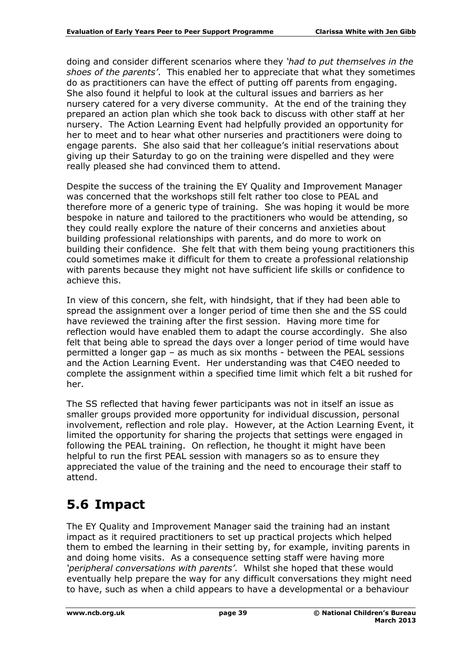doing and consider different scenarios where they *'had to put themselves in the shoes of the parents'*. This enabled her to appreciate that what they sometimes do as practitioners can have the effect of putting off parents from engaging. She also found it helpful to look at the cultural issues and barriers as her nursery catered for a very diverse community. At the end of the training they prepared an action plan which she took back to discuss with other staff at her nursery. The Action Learning Event had helpfully provided an opportunity for her to meet and to hear what other nurseries and practitioners were doing to engage parents. She also said that her colleague's initial reservations about giving up their Saturday to go on the training were dispelled and they were really pleased she had convinced them to attend.

Despite the success of the training the EY Quality and Improvement Manager was concerned that the workshops still felt rather too close to PEAL and therefore more of a generic type of training. She was hoping it would be more bespoke in nature and tailored to the practitioners who would be attending, so they could really explore the nature of their concerns and anxieties about building professional relationships with parents, and do more to work on building their confidence. She felt that with them being young practitioners this could sometimes make it difficult for them to create a professional relationship with parents because they might not have sufficient life skills or confidence to achieve this.

In view of this concern, she felt, with hindsight, that if they had been able to spread the assignment over a longer period of time then she and the SS could have reviewed the training after the first session. Having more time for reflection would have enabled them to adapt the course accordingly. She also felt that being able to spread the days over a longer period of time would have permitted a longer gap – as much as six months - between the PEAL sessions and the Action Learning Event. Her understanding was that C4EO needed to complete the assignment within a specified time limit which felt a bit rushed for her.

The SS reflected that having fewer participants was not in itself an issue as smaller groups provided more opportunity for individual discussion, personal involvement, reflection and role play. However, at the Action Learning Event, it limited the opportunity for sharing the projects that settings were engaged in following the PEAL training. On reflection, he thought it might have been helpful to run the first PEAL session with managers so as to ensure they appreciated the value of the training and the need to encourage their staff to attend.

## <span id="page-38-0"></span>**5.6 Impact**

The EY Quality and Improvement Manager said the training had an instant impact as it required practitioners to set up practical projects which helped them to embed the learning in their setting by, for example, inviting parents in and doing home visits. As a consequence setting staff were having more *'peripheral conversations with parents'*. Whilst she hoped that these would eventually help prepare the way for any difficult conversations they might need to have, such as when a child appears to have a developmental or a behaviour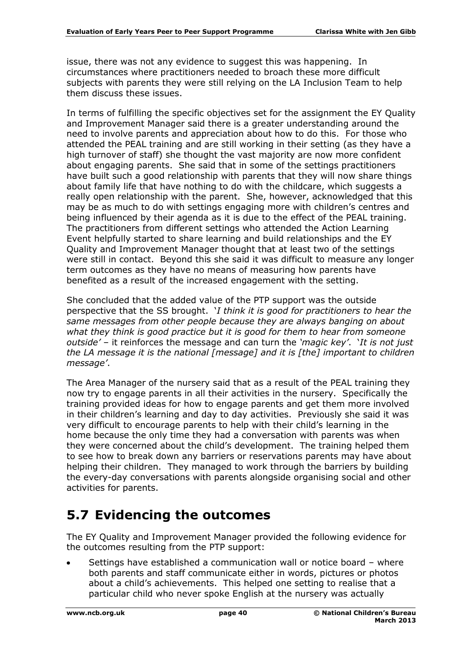issue, there was not any evidence to suggest this was happening. In circumstances where practitioners needed to broach these more difficult subjects with parents they were still relying on the LA Inclusion Team to help them discuss these issues.

In terms of fulfilling the specific objectives set for the assignment the EY Quality and Improvement Manager said there is a greater understanding around the need to involve parents and appreciation about how to do this. For those who attended the PEAL training and are still working in their setting (as they have a high turnover of staff) she thought the vast majority are now more confident about engaging parents. She said that in some of the settings practitioners have built such a good relationship with parents that they will now share things about family life that have nothing to do with the childcare, which suggests a really open relationship with the parent. She, however, acknowledged that this may be as much to do with settings engaging more with children's centres and being influenced by their agenda as it is due to the effect of the PEAL training. The practitioners from different settings who attended the Action Learning Event helpfully started to share learning and build relationships and the EY Quality and Improvement Manager thought that at least two of the settings were still in contact. Beyond this she said it was difficult to measure any longer term outcomes as they have no means of measuring how parents have benefited as a result of the increased engagement with the setting.

She concluded that the added value of the PTP support was the outside perspective that the SS brought. '*I think it is good for practitioners to hear the same messages from other people because they are always banging on about what they think is good practice but it is good for them to hear from someone outside'* – it reinforces the message and can turn the *'magic key'*. '*It is not just the LA message it is the national [message] and it is [the] important to children message'*.

The Area Manager of the nursery said that as a result of the PEAL training they now try to engage parents in all their activities in the nursery. Specifically the training provided ideas for how to engage parents and get them more involved in their children's learning and day to day activities. Previously she said it was very difficult to encourage parents to help with their child's learning in the home because the only time they had a conversation with parents was when they were concerned about the child's development. The training helped them to see how to break down any barriers or reservations parents may have about helping their children. They managed to work through the barriers by building the every-day conversations with parents alongside organising social and other activities for parents.

#### <span id="page-39-0"></span>**5.7 Evidencing the outcomes**

The EY Quality and Improvement Manager provided the following evidence for the outcomes resulting from the PTP support:

Settings have established a communication wall or notice board – where both parents and staff communicate either in words, pictures or photos about a child's achievements. This helped one setting to realise that a particular child who never spoke English at the nursery was actually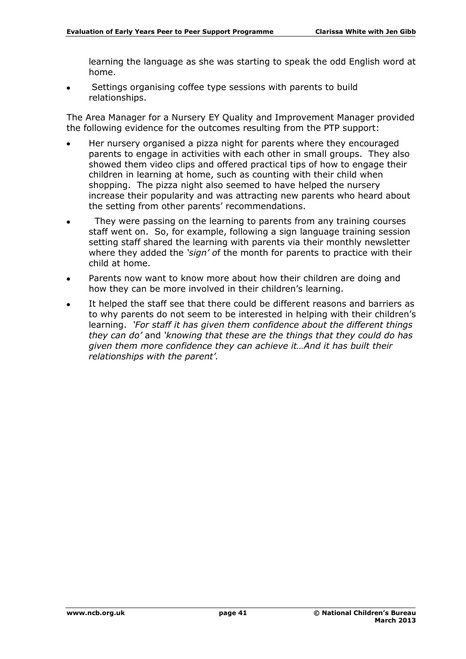learning the language as she was starting to speak the odd English word at home.

Settings organising coffee type sessions with parents to build relationships.

The Area Manager for a Nursery EY Quality and Improvement Manager provided the following evidence for the outcomes resulting from the PTP support:

- Her nursery organised a pizza night for parents where they encouraged parents to engage in activities with each other in small groups. They also showed them video clips and offered practical tips of how to engage their children in learning at home, such as counting with their child when shopping. The pizza night also seemed to have helped the nursery increase their popularity and was attracting new parents who heard about the setting from other parents' recommendations.
- They were passing on the learning to parents from any training courses staff went on. So, for example, following a sign language training session setting staff shared the learning with parents via their monthly newsletter where they added the *'sign' o*f the month for parents to practice with their child at home.
- Parents now want to know more about how their children are doing and how they can be more involved in their children's learning.
- It helped the staff see that there could be different reasons and barriers as to why parents do not seem to be interested in helping with their children's learning. *'For staff it has given them confidence about the different things they can do'* and *'knowing that these are the things that they could do has given them more confidence they can achieve it…And it has built their relationships with the parent'.*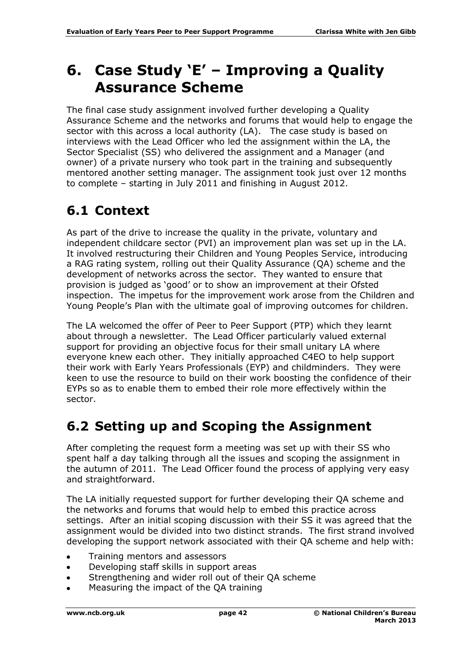# <span id="page-41-0"></span>**6. Case Study 'E' – Improving a Quality Assurance Scheme**

The final case study assignment involved further developing a Quality Assurance Scheme and the networks and forums that would help to engage the sector with this across a local authority (LA). The case study is based on interviews with the Lead Officer who led the assignment within the LA, the Sector Specialist (SS) who delivered the assignment and a Manager (and owner) of a private nursery who took part in the training and subsequently mentored another setting manager. The assignment took just over 12 months to complete – starting in July 2011 and finishing in August 2012.

## <span id="page-41-1"></span>**6.1 Context**

As part of the drive to increase the quality in the private, voluntary and independent childcare sector (PVI) an improvement plan was set up in the LA. It involved restructuring their Children and Young Peoples Service, introducing a RAG rating system, rolling out their Quality Assurance (QA) scheme and the development of networks across the sector. They wanted to ensure that provision is judged as 'good' or to show an improvement at their Ofsted inspection. The impetus for the improvement work arose from the Children and Young People's Plan with the ultimate goal of improving outcomes for children.

The LA welcomed the offer of Peer to Peer Support (PTP) which they learnt about through a newsletter. The Lead Officer particularly valued external support for providing an objective focus for their small unitary LA where everyone knew each other. They initially approached C4EO to help support their work with Early Years Professionals (EYP) and childminders. They were keen to use the resource to build on their work boosting the confidence of their EYPs so as to enable them to embed their role more effectively within the sector.

## <span id="page-41-2"></span>**6.2 Setting up and Scoping the Assignment**

After completing the request form a meeting was set up with their SS who spent half a day talking through all the issues and scoping the assignment in the autumn of 2011. The Lead Officer found the process of applying very easy and straightforward.

The LA initially requested support for further developing their QA scheme and the networks and forums that would help to embed this practice across settings. After an initial scoping discussion with their SS it was agreed that the assignment would be divided into two distinct strands. The first strand involved developing the support network associated with their QA scheme and help with:

- Training mentors and assessors
- Developing staff skills in support areas  $\bullet$
- Strengthening and wider roll out of their QA scheme
- Measuring the impact of the QA training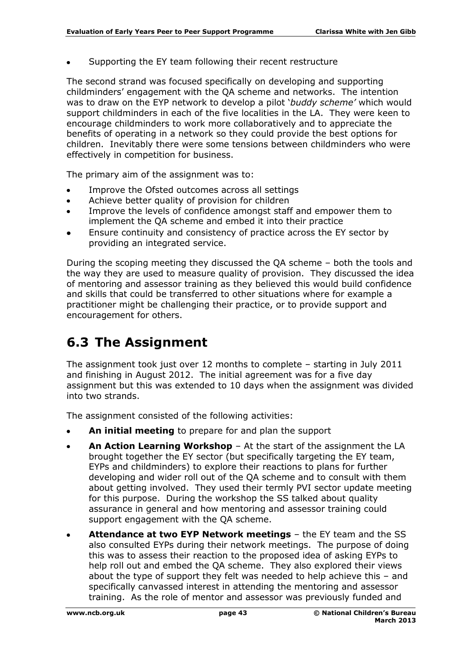Supporting the EY team following their recent restructure

The second strand was focused specifically on developing and supporting childminders' engagement with the QA scheme and networks. The intention was to draw on the EYP network to develop a pilot '*buddy scheme'* which would support childminders in each of the five localities in the LA. They were keen to encourage childminders to work more collaboratively and to appreciate the benefits of operating in a network so they could provide the best options for children. Inevitably there were some tensions between childminders who were effectively in competition for business.

The primary aim of the assignment was to:

- Improve the Ofsted outcomes across all settings
- Achieve better quality of provision for children
- Improve the levels of confidence amongst staff and empower them to  $\bullet$ implement the QA scheme and embed it into their practice
- Ensure continuity and consistency of practice across the EY sector by providing an integrated service.

During the scoping meeting they discussed the QA scheme – both the tools and the way they are used to measure quality of provision. They discussed the idea of mentoring and assessor training as they believed this would build confidence and skills that could be transferred to other situations where for example a practitioner might be challenging their practice, or to provide support and encouragement for others.

## <span id="page-42-0"></span>**6.3 The Assignment**

The assignment took just over 12 months to complete – starting in July 2011 and finishing in August 2012. The initial agreement was for a five day assignment but this was extended to 10 days when the assignment was divided into two strands.

The assignment consisted of the following activities:

- **An initial meeting** to prepare for and plan the support
- **An Action Learning Workshop** At the start of the assignment the LA  $\bullet$ brought together the EY sector (but specifically targeting the EY team, EYPs and childminders) to explore their reactions to plans for further developing and wider roll out of the QA scheme and to consult with them about getting involved. They used their termly PVI sector update meeting for this purpose. During the workshop the SS talked about quality assurance in general and how mentoring and assessor training could support engagement with the QA scheme.
- **Attendance at two EYP Network meetings** the EY team and the SS also consulted EYPs during their network meetings. The purpose of doing this was to assess their reaction to the proposed idea of asking EYPs to help roll out and embed the QA scheme. They also explored their views about the type of support they felt was needed to help achieve this – and specifically canvassed interest in attending the mentoring and assessor training. As the role of mentor and assessor was previously funded and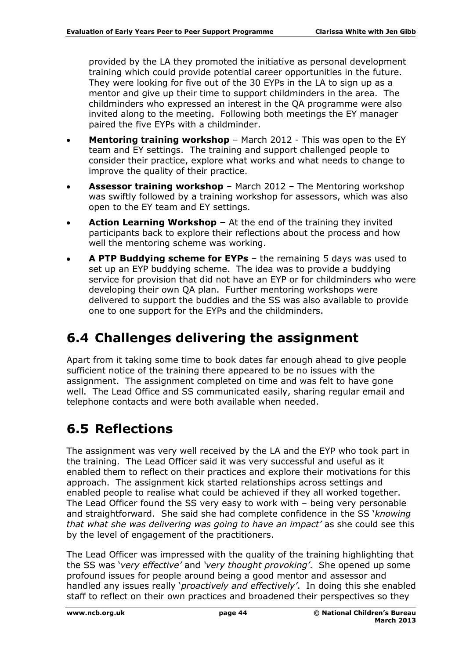provided by the LA they promoted the initiative as personal development training which could provide potential career opportunities in the future. They were looking for five out of the 30 EYPs in the LA to sign up as a mentor and give up their time to support childminders in the area. The childminders who expressed an interest in the QA programme were also invited along to the meeting. Following both meetings the EY manager paired the five EYPs with a childminder.

- **Mentoring training workshop** March 2012 This was open to the EY  $\bullet$ team and EY settings. The training and support challenged people to consider their practice, explore what works and what needs to change to improve the quality of their practice.
- **Assessor training workshop** March 2012 The Mentoring workshop was swiftly followed by a training workshop for assessors, which was also open to the EY team and EY settings.
- **Action Learning Workshop –** At the end of the training they invited participants back to explore their reflections about the process and how well the mentoring scheme was working.
- **A PTP Buddying scheme for EYPs** the remaining 5 days was used to set up an EYP buddying scheme. The idea was to provide a buddying service for provision that did not have an EYP or for childminders who were developing their own QA plan. Further mentoring workshops were delivered to support the buddies and the SS was also available to provide one to one support for the EYPs and the childminders.

## <span id="page-43-0"></span>**6.4 Challenges delivering the assignment**

Apart from it taking some time to book dates far enough ahead to give people sufficient notice of the training there appeared to be no issues with the assignment. The assignment completed on time and was felt to have gone well. The Lead Office and SS communicated easily, sharing regular email and telephone contacts and were both available when needed.

## <span id="page-43-1"></span>**6.5 Reflections**

The assignment was very well received by the LA and the EYP who took part in the training. The Lead Officer said it was very successful and useful as it enabled them to reflect on their practices and explore their motivations for this approach. The assignment kick started relationships across settings and enabled people to realise what could be achieved if they all worked together. The Lead Officer found the SS very easy to work with – being very personable and straightforward. She said she had complete confidence in the SS '*knowing that what she was delivering was going to have an impact'* as she could see this by the level of engagement of the practitioners.

The Lead Officer was impressed with the quality of the training highlighting that the SS was '*very effective'* and *'very thought provoking'*. She opened up some profound issues for people around being a good mentor and assessor and handled any issues really '*proactively and effectively'*. In doing this she enabled staff to reflect on their own practices and broadened their perspectives so they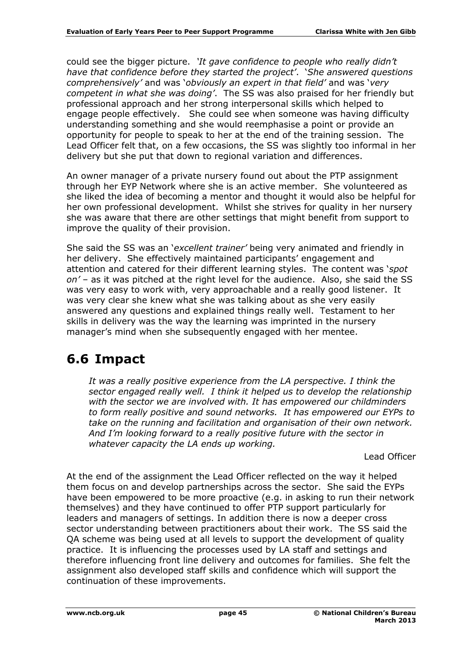could see the bigger picture. *'It gave confidence to people who really didn't have that confidence before they started the project'*. '*She answered questions comprehensively'* and was '*obviously an expert in that field'* and was '*very competent in what she was doing'*. The SS was also praised for her friendly but professional approach and her strong interpersonal skills which helped to engage people effectively. She could see when someone was having difficulty understanding something and she would reemphasise a point or provide an opportunity for people to speak to her at the end of the training session. The Lead Officer felt that, on a few occasions, the SS was slightly too informal in her delivery but she put that down to regional variation and differences.

An owner manager of a private nursery found out about the PTP assignment through her EYP Network where she is an active member. She volunteered as she liked the idea of becoming a mentor and thought it would also be helpful for her own professional development. Whilst she strives for quality in her nursery she was aware that there are other settings that might benefit from support to improve the quality of their provision.

She said the SS was an '*excellent trainer'* being very animated and friendly in her delivery. She effectively maintained participants' engagement and attention and catered for their different learning styles. The content was '*spot on'* – as it was pitched at the right level for the audience. Also, she said the SS was very easy to work with, very approachable and a really good listener. It was very clear she knew what she was talking about as she very easily answered any questions and explained things really well. Testament to her skills in delivery was the way the learning was imprinted in the nursery manager's mind when she subsequently engaged with her mentee.

### <span id="page-44-0"></span>**6.6 Impact**

It was a really positive experience from the LA perspective. I think the *sector engaged really well. I think it helped us to develop the relationship with the sector we are involved with. It has empowered our childminders to form really positive and sound networks. It has empowered our EYPs to take on the running and facilitation and organisation of their own network. And I'm looking forward to a really positive future with the sector in whatever capacity the LA ends up working.* 

Lead Officer

At the end of the assignment the Lead Officer reflected on the way it helped them focus on and develop partnerships across the sector. She said the EYPs have been empowered to be more proactive (e.g. in asking to run their network themselves) and they have continued to offer PTP support particularly for leaders and managers of settings. In addition there is now a deeper cross sector understanding between practitioners about their work. The SS said the QA scheme was being used at all levels to support the development of quality practice. It is influencing the processes used by LA staff and settings and therefore influencing front line delivery and outcomes for families. She felt the assignment also developed staff skills and confidence which will support the continuation of these improvements.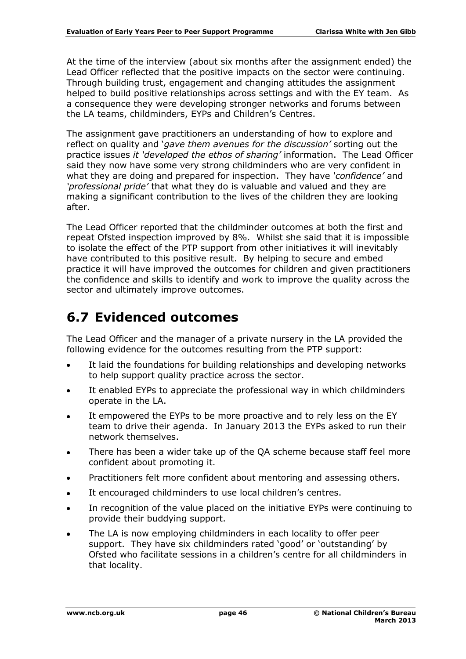At the time of the interview (about six months after the assignment ended) the Lead Officer reflected that the positive impacts on the sector were continuing. Through building trust, engagement and changing attitudes the assignment helped to build positive relationships across settings and with the EY team. As a consequence they were developing stronger networks and forums between the LA teams, childminders, EYPs and Children's Centres.

The assignment gave practitioners an understanding of how to explore and reflect on quality and '*gave them avenues for the discussion'* sorting out the practice issues *it 'developed the ethos of sharing'* information. The Lead Officer said they now have some very strong childminders who are very confident in what they are doing and prepared for inspection. They have *'confidence'* and *'professional pride'* that what they do is valuable and valued and they are making a significant contribution to the lives of the children they are looking after.

The Lead Officer reported that the childminder outcomes at both the first and repeat Ofsted inspection improved by 8%. Whilst she said that it is impossible to isolate the effect of the PTP support from other initiatives it will inevitably have contributed to this positive result. By helping to secure and embed practice it will have improved the outcomes for children and given practitioners the confidence and skills to identify and work to improve the quality across the sector and ultimately improve outcomes.

### <span id="page-45-0"></span>**6.7 Evidenced outcomes**

The Lead Officer and the manager of a private nursery in the LA provided the following evidence for the outcomes resulting from the PTP support:

- It laid the foundations for building relationships and developing networks to help support quality practice across the sector.
- It enabled EYPs to appreciate the professional way in which childminders operate in the LA.
- It empowered the EYPs to be more proactive and to rely less on the EY  $\bullet$ team to drive their agenda. In January 2013 the EYPs asked to run their network themselves.
- There has been a wider take up of the QA scheme because staff feel more confident about promoting it.
- Practitioners felt more confident about mentoring and assessing others.  $\bullet$
- It encouraged childminders to use local children's centres.  $\bullet$
- In recognition of the value placed on the initiative EYPs were continuing to  $\bullet$ provide their buddying support.
- The LA is now employing childminders in each locality to offer peer support. They have six childminders rated 'good' or 'outstanding' by Ofsted who facilitate sessions in a children's centre for all childminders in that locality.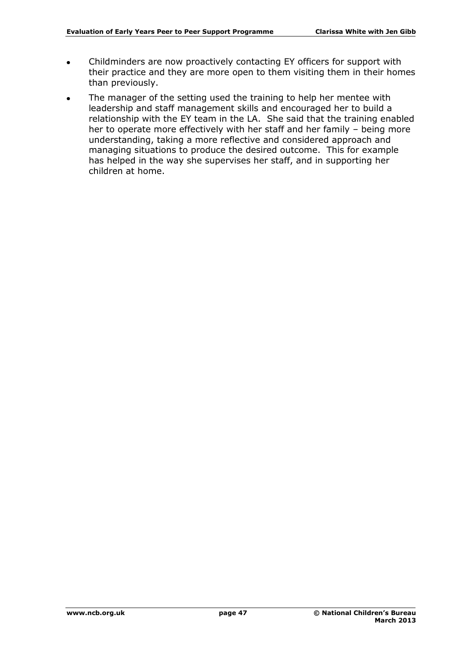- Childminders are now proactively contacting EY officers for support with  $\bullet$ their practice and they are more open to them visiting them in their homes than previously.
- The manager of the setting used the training to help her mentee with leadership and staff management skills and encouraged her to build a relationship with the EY team in the LA. She said that the training enabled her to operate more effectively with her staff and her family – being more understanding, taking a more reflective and considered approach and managing situations to produce the desired outcome. This for example has helped in the way she supervises her staff, and in supporting her children at home.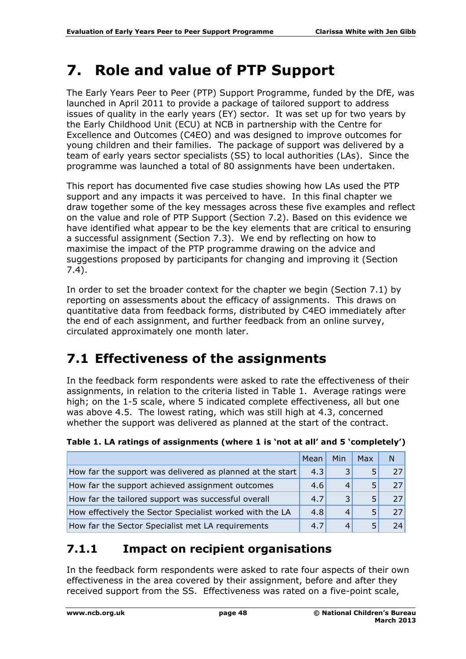# <span id="page-47-0"></span>**7. Role and value of PTP Support**

The Early Years Peer to Peer (PTP) Support Programme, funded by the DfE, was launched in April 2011 to provide a package of tailored support to address issues of quality in the early years (EY) sector. It was set up for two years by the Early Childhood Unit (ECU) at NCB in partnership with the Centre for Excellence and Outcomes (C4EO) and was designed to improve outcomes for young children and their families. The package of support was delivered by a team of early years sector specialists (SS) to local authorities (LAs). Since the programme was launched a total of 80 assignments have been undertaken.

This report has documented five case studies showing how LAs used the PTP support and any impacts it was perceived to have. In this final chapter we draw together some of the key messages across these five examples and reflect on the value and role of PTP Support (Section 7.2). Based on this evidence we have identified what appear to be the key elements that are critical to ensuring a successful assignment (Section 7.3). We end by reflecting on how to maximise the impact of the PTP programme drawing on the advice and suggestions proposed by participants for changing and improving it (Section 7.4).

In order to set the broader context for the chapter we begin (Section 7.1) by reporting on assessments about the efficacy of assignments. This draws on quantitative data from feedback forms, distributed by C4EO immediately after the end of each assignment, and further feedback from an online survey, circulated approximately one month later.

## <span id="page-47-1"></span>**7.1 Effectiveness of the assignments**

In the feedback form respondents were asked to rate the effectiveness of their assignments, in relation to the criteria listed in Table 1. Average ratings were high; on the 1-5 scale, where 5 indicated complete effectiveness, all but one was above 4.5. The lowest rating, which was still high at 4.3, concerned whether the support was delivered as planned at the start of the contract.

|                                                           | Mean | Min | <b>Max</b> | N   |
|-----------------------------------------------------------|------|-----|------------|-----|
| How far the support was delivered as planned at the start | 4.3  |     |            | 27  |
| How far the support achieved assignment outcomes          | 4.6  |     |            | 27  |
| How far the tailored support was successful overall       | 4.7  | 3   | 5          | 27  |
| How effectively the Sector Specialist worked with the LA  | 4.8  |     |            | 27  |
| How far the Sector Specialist met LA requirements         | 4.7  |     |            | 74. |

**Table 1. LA ratings of assignments (where 1 is 'not at all' and 5 'completely')**

#### **7.1.1 Impact on recipient organisations**

In the feedback form respondents were asked to rate four aspects of their own effectiveness in the area covered by their assignment, before and after they received support from the SS. Effectiveness was rated on a five-point scale,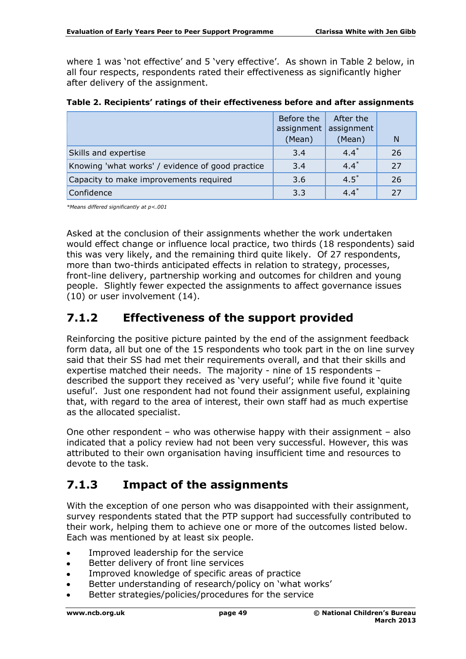where 1 was 'not effective' and 5 'very effective'. As shown in Table 2 below, in all four respects, respondents rated their effectiveness as significantly higher after delivery of the assignment.

| Table 2. Recipients' ratings of their effectiveness before and after assignments |  |  |  |  |
|----------------------------------------------------------------------------------|--|--|--|--|
|----------------------------------------------------------------------------------|--|--|--|--|

|                                                  | Before the<br>assignment | After the<br>assignment |    |
|--------------------------------------------------|--------------------------|-------------------------|----|
|                                                  | (Mean)                   | (Mean)                  | N  |
| Skills and expertise                             | 3.4                      | $4.4*$                  | 26 |
| Knowing 'what works' / evidence of good practice | 3.4                      | $4.4*$                  | 27 |
| Capacity to make improvements required           | 3.6                      | $4.5^*$                 | 26 |
| Confidence                                       | 3.3                      | $4.4*$                  | 27 |

*\*Means differed significantly at p<.001* 

Asked at the conclusion of their assignments whether the work undertaken would effect change or influence local practice, two thirds (18 respondents) said this was very likely, and the remaining third quite likely. Of 27 respondents, more than two-thirds anticipated effects in relation to strategy, processes, front-line delivery, partnership working and outcomes for children and young people. Slightly fewer expected the assignments to affect governance issues (10) or user involvement (14).

#### **7.1.2 Effectiveness of the support provided**

Reinforcing the positive picture painted by the end of the assignment feedback form data, all but one of the 15 respondents who took part in the on line survey said that their SS had met their requirements overall, and that their skills and expertise matched their needs. The majority - nine of 15 respondents – described the support they received as 'very useful'; while five found it 'quite useful'. Just one respondent had not found their assignment useful, explaining that, with regard to the area of interest, their own staff had as much expertise as the allocated specialist.

One other respondent – who was otherwise happy with their assignment – also indicated that a policy review had not been very successful. However, this was attributed to their own organisation having insufficient time and resources to devote to the task.

#### **7.1.3 Impact of the assignments**

With the exception of one person who was disappointed with their assignment, survey respondents stated that the PTP support had successfully contributed to their work, helping them to achieve one or more of the outcomes listed below. Each was mentioned by at least six people.

- Improved leadership for the service
- Better delivery of front line services
- Improved knowledge of specific areas of practice
- Better understanding of research/policy on 'what works'
- Better strategies/policies/procedures for the service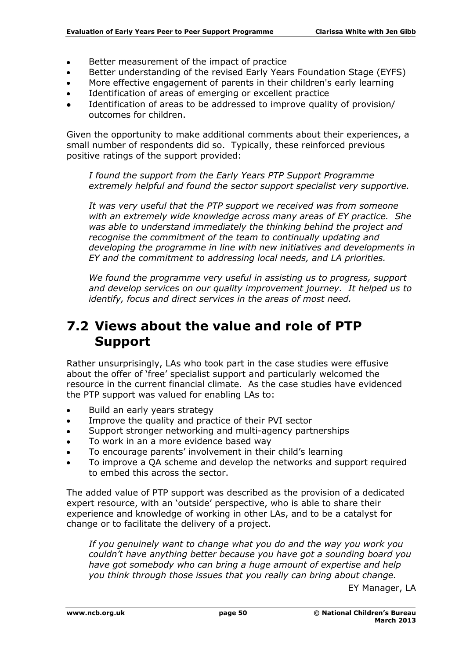- $\bullet$ Better measurement of the impact of practice
- Better understanding of the revised Early Years Foundation Stage (EYFS)
- More effective engagement of parents in their children's early learning
- Identification of areas of emerging or excellent practice  $\bullet$
- Identification of areas to be addressed to improve quality of provision/ outcomes for children.

Given the opportunity to make additional comments about their experiences, a small number of respondents did so. Typically, these reinforced previous positive ratings of the support provided:

*I found the support from the Early Years PTP Support Programme extremely helpful and found the sector support specialist very supportive.*

*It was very useful that the PTP support we received was from someone with an extremely wide knowledge across many areas of EY practice. She was able to understand immediately the thinking behind the project and recognise the commitment of the team to continually updating and developing the programme in line with new initiatives and developments in EY and the commitment to addressing local needs, and LA priorities.*

*We found the programme very useful in assisting us to progress, support and develop services on our quality improvement journey. It helped us to identify, focus and direct services in the areas of most need.*

#### <span id="page-49-0"></span>**7.2 Views about the value and role of PTP Support**

Rather unsurprisingly, LAs who took part in the case studies were effusive about the offer of 'free' specialist support and particularly welcomed the resource in the current financial climate. As the case studies have evidenced the PTP support was valued for enabling LAs to:

- Build an early years strategy  $\bullet$
- Improve the quality and practice of their PVI sector
- Support stronger networking and multi-agency partnerships
- To work in an a more evidence based way
- To encourage parents' involvement in their child's learning
- To improve a QA scheme and develop the networks and support required to embed this across the sector.

The added value of PTP support was described as the provision of a dedicated expert resource, with an 'outside' perspective, who is able to share their experience and knowledge of working in other LAs, and to be a catalyst for change or to facilitate the delivery of a project.

*If you genuinely want to change what you do and the way you work you couldn't have anything better because you have got a sounding board you have got somebody who can bring a huge amount of expertise and help you think through those issues that you really can bring about change.* 

EY Manager, LA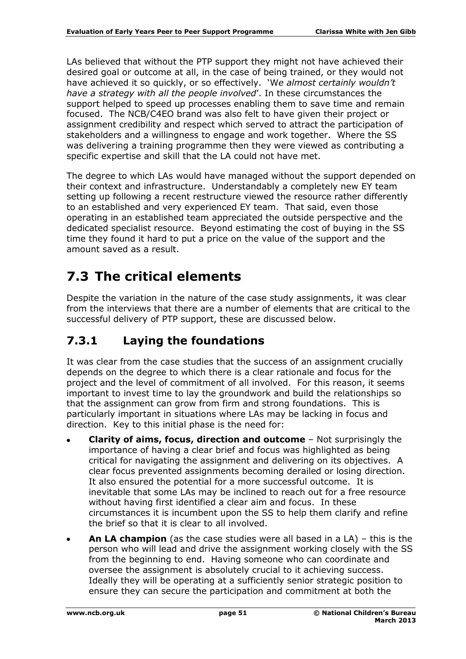LAs believed that without the PTP support they might not have achieved their desired goal or outcome at all, in the case of being trained, or they would not have achieved it so quickly, or so effectively. 'W*e almost certainly wouldn't have a strategy with all the people involved*'. In these circumstances the support helped to speed up processes enabling them to save time and remain focused. The NCB/C4EO brand was also felt to have given their project or assignment credibility and respect which served to attract the participation of stakeholders and a willingness to engage and work together. Where the SS was delivering a training programme then they were viewed as contributing a specific expertise and skill that the LA could not have met.

The degree to which LAs would have managed without the support depended on their context and infrastructure. Understandably a completely new EY team setting up following a recent restructure viewed the resource rather differently to an established and very experienced EY team. That said, even those operating in an established team appreciated the outside perspective and the dedicated specialist resource. Beyond estimating the cost of buying in the SS time they found it hard to put a price on the value of the support and the amount saved as a result.

## <span id="page-50-0"></span>**7.3 The critical elements**

Despite the variation in the nature of the case study assignments, it was clear from the interviews that there are a number of elements that are critical to the successful delivery of PTP support, these are discussed below.

#### **7.3.1 Laying the foundations**

It was clear from the case studies that the success of an assignment crucially depends on the degree to which there is a clear rationale and focus for the project and the level of commitment of all involved. For this reason, it seems important to invest time to lay the groundwork and build the relationships so that the assignment can grow from firm and strong foundations. This is particularly important in situations where LAs may be lacking in focus and direction. Key to this initial phase is the need for:

- **Clarity of aims, focus, direction and outcome**  Not surprisingly the importance of having a clear brief and focus was highlighted as being critical for navigating the assignment and delivering on its objectives. A clear focus prevented assignments becoming derailed or losing direction. It also ensured the potential for a more successful outcome. It is inevitable that some LAs may be inclined to reach out for a free resource without having first identified a clear aim and focus. In these circumstances it is incumbent upon the SS to help them clarify and refine the brief so that it is clear to all involved.
- **An LA champion** (as the case studies were all based in a LA) this is the person who will lead and drive the assignment working closely with the SS from the beginning to end. Having someone who can coordinate and oversee the assignment is absolutely crucial to it achieving success. Ideally they will be operating at a sufficiently senior strategic position to ensure they can secure the participation and commitment at both the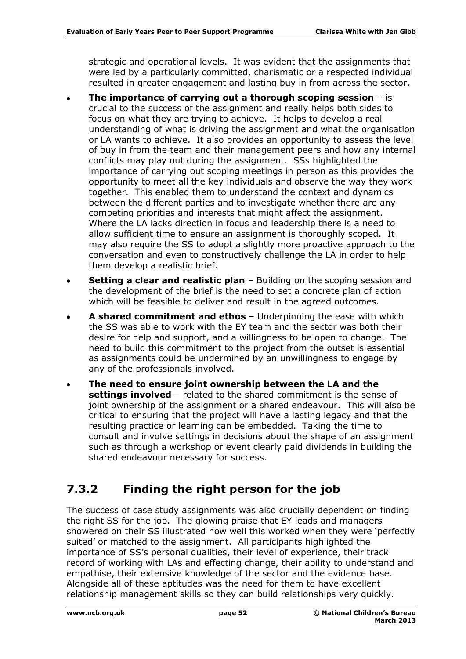strategic and operational levels. It was evident that the assignments that were led by a particularly committed, charismatic or a respected individual resulted in greater engagement and lasting buy in from across the sector.

- **The importance of carrying out a thorough scoping session**  is crucial to the success of the assignment and really helps both sides to focus on what they are trying to achieve. It helps to develop a real understanding of what is driving the assignment and what the organisation or LA wants to achieve. It also provides an opportunity to assess the level of buy in from the team and their management peers and how any internal conflicts may play out during the assignment. SSs highlighted the importance of carrying out scoping meetings in person as this provides the opportunity to meet all the key individuals and observe the way they work together. This enabled them to understand the context and dynamics between the different parties and to investigate whether there are any competing priorities and interests that might affect the assignment. Where the LA lacks direction in focus and leadership there is a need to allow sufficient time to ensure an assignment is thoroughly scoped. It may also require the SS to adopt a slightly more proactive approach to the conversation and even to constructively challenge the LA in order to help them develop a realistic brief.
- **Setting a clear and realistic plan** Building on the scoping session and  $\bullet$ the development of the brief is the need to set a concrete plan of action which will be feasible to deliver and result in the agreed outcomes.
- **A shared commitment and ethos**  Underpinning the ease with which the SS was able to work with the EY team and the sector was both their desire for help and support, and a willingness to be open to change. The need to build this commitment to the project from the outset is essential as assignments could be undermined by an unwillingness to engage by any of the professionals involved.
- **The need to ensure joint ownership between the LA and the settings involved** – related to the shared commitment is the sense of joint ownership of the assignment or a shared endeavour. This will also be critical to ensuring that the project will have a lasting legacy and that the resulting practice or learning can be embedded. Taking the time to consult and involve settings in decisions about the shape of an assignment such as through a workshop or event clearly paid dividends in building the shared endeavour necessary for success.

#### **7.3.2 Finding the right person for the job**

The success of case study assignments was also crucially dependent on finding the right SS for the job. The glowing praise that EY leads and managers showered on their SS illustrated how well this worked when they were 'perfectly suited' or matched to the assignment. All participants highlighted the importance of SS's personal qualities, their level of experience, their track record of working with LAs and effecting change, their ability to understand and empathise, their extensive knowledge of the sector and the evidence base. Alongside all of these aptitudes was the need for them to have excellent relationship management skills so they can build relationships very quickly.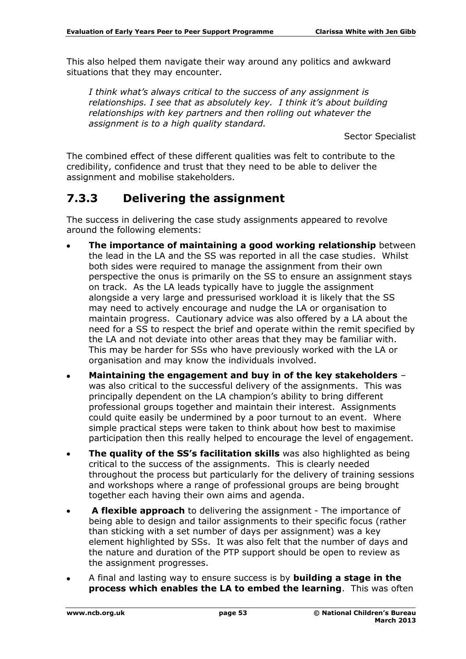This also helped them navigate their way around any politics and awkward situations that they may encounter.

*I think what's always critical to the success of any assignment is relationships. I see that as absolutely key. I think it's about building relationships with key partners and then rolling out whatever the assignment is to a high quality standard.* 

Sector Specialist

The combined effect of these different qualities was felt to contribute to the credibility, confidence and trust that they need to be able to deliver the assignment and mobilise stakeholders.

#### **7.3.3 Delivering the assignment**

The success in delivering the case study assignments appeared to revolve around the following elements:

- **The importance of maintaining a good working relationship** between the lead in the LA and the SS was reported in all the case studies. Whilst both sides were required to manage the assignment from their own perspective the onus is primarily on the SS to ensure an assignment stays on track. As the LA leads typically have to juggle the assignment alongside a very large and pressurised workload it is likely that the SS may need to actively encourage and nudge the LA or organisation to maintain progress. Cautionary advice was also offered by a LA about the need for a SS to respect the brief and operate within the remit specified by the LA and not deviate into other areas that they may be familiar with. This may be harder for SSs who have previously worked with the LA or organisation and may know the individuals involved.
- **Maintaining the engagement and buy in of the key stakeholders** was also critical to the successful delivery of the assignments. This was principally dependent on the LA champion's ability to bring different professional groups together and maintain their interest. Assignments could quite easily be undermined by a poor turnout to an event. Where simple practical steps were taken to think about how best to maximise participation then this really helped to encourage the level of engagement.
- **The quality of the SS's facilitation skills** was also highlighted as being  $\bullet$ critical to the success of the assignments. This is clearly needed throughout the process but particularly for the delivery of training sessions and workshops where a range of professional groups are being brought together each having their own aims and agenda.
- **A flexible approach** to delivering the assignment The importance of  $\bullet$ being able to design and tailor assignments to their specific focus (rather than sticking with a set number of days per assignment) was a key element highlighted by SSs. It was also felt that the number of days and the nature and duration of the PTP support should be open to review as the assignment progresses.
- A final and lasting way to ensure success is by **building a stage in the process which enables the LA to embed the learning**. This was often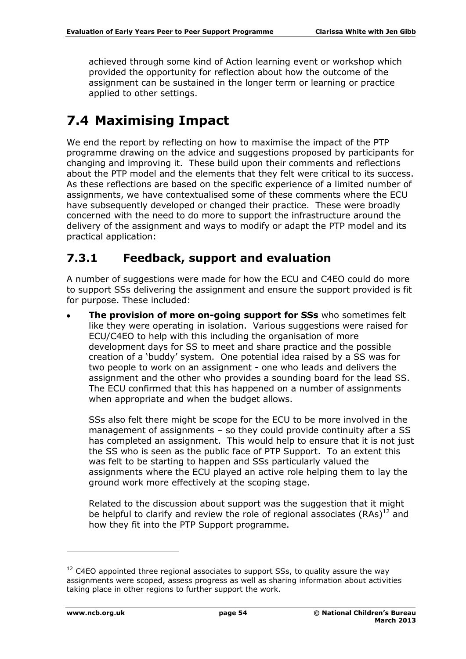achieved through some kind of Action learning event or workshop which provided the opportunity for reflection about how the outcome of the assignment can be sustained in the longer term or learning or practice applied to other settings.

## <span id="page-53-0"></span>**7.4 Maximising Impact**

We end the report by reflecting on how to maximise the impact of the PTP programme drawing on the advice and suggestions proposed by participants for changing and improving it. These build upon their comments and reflections about the PTP model and the elements that they felt were critical to its success. As these reflections are based on the specific experience of a limited number of assignments, we have contextualised some of these comments where the ECU have subsequently developed or changed their practice. These were broadly concerned with the need to do more to support the infrastructure around the delivery of the assignment and ways to modify or adapt the PTP model and its practical application:

#### **7.3.1 Feedback, support and evaluation**

A number of suggestions were made for how the ECU and C4EO could do more to support SSs delivering the assignment and ensure the support provided is fit for purpose. These included:

**The provision of more on-going support for SSs** who sometimes felt like they were operating in isolation. Various suggestions were raised for ECU/C4EO to help with this including the organisation of more development days for SS to meet and share practice and the possible creation of a 'buddy' system. One potential idea raised by a SS was for two people to work on an assignment - one who leads and delivers the assignment and the other who provides a sounding board for the lead SS. The ECU confirmed that this has happened on a number of assignments when appropriate and when the budget allows.

SSs also felt there might be scope for the ECU to be more involved in the management of assignments – so they could provide continuity after a SS has completed an assignment. This would help to ensure that it is not just the SS who is seen as the public face of PTP Support. To an extent this was felt to be starting to happen and SSs particularly valued the assignments where the ECU played an active role helping them to lay the ground work more effectively at the scoping stage.

Related to the discussion about support was the suggestion that it might be helpful to clarify and review the role of regional associates  $(RAs)^{12}$  and how they fit into the PTP Support programme.

-

 $12$  C4EO appointed three regional associates to support SSs, to quality assure the way assignments were scoped, assess progress as well as sharing information about activities taking place in other regions to further support the work.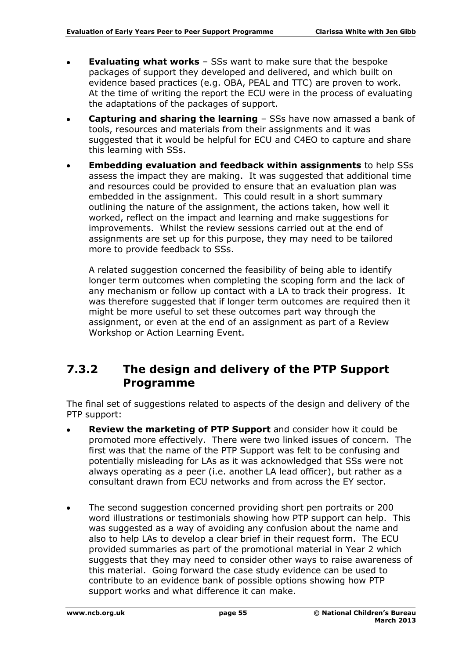- **Evaluating what works** SSs want to make sure that the bespoke packages of support they developed and delivered, and which built on evidence based practices (e.g. OBA, PEAL and TTC) are proven to work. At the time of writing the report the ECU were in the process of evaluating the adaptations of the packages of support.
- **Capturing and sharing the learning** SSs have now amassed a bank of tools, resources and materials from their assignments and it was suggested that it would be helpful for ECU and C4EO to capture and share this learning with SSs.
- **Embedding evaluation and feedback within assignments** to help SSs assess the impact they are making. It was suggested that additional time and resources could be provided to ensure that an evaluation plan was embedded in the assignment. This could result in a short summary outlining the nature of the assignment, the actions taken, how well it worked, reflect on the impact and learning and make suggestions for improvements. Whilst the review sessions carried out at the end of assignments are set up for this purpose, they may need to be tailored more to provide feedback to SSs.

A related suggestion concerned the feasibility of being able to identify longer term outcomes when completing the scoping form and the lack of any mechanism or follow up contact with a LA to track their progress. It was therefore suggested that if longer term outcomes are required then it might be more useful to set these outcomes part way through the assignment, or even at the end of an assignment as part of a Review Workshop or Action Learning Event.

#### **7.3.2 The design and delivery of the PTP Support Programme**

The final set of suggestions related to aspects of the design and delivery of the PTP support:

- **Review the marketing of PTP Support** and consider how it could be promoted more effectively. There were two linked issues of concern. The first was that the name of the PTP Support was felt to be confusing and potentially misleading for LAs as it was acknowledged that SSs were not always operating as a peer (i.e. another LA lead officer), but rather as a consultant drawn from ECU networks and from across the EY sector.
- The second suggestion concerned providing short pen portraits or 200  $\bullet$ word illustrations or testimonials showing how PTP support can help. This was suggested as a way of avoiding any confusion about the name and also to help LAs to develop a clear brief in their request form. The ECU provided summaries as part of the promotional material in Year 2 which suggests that they may need to consider other ways to raise awareness of this material. Going forward the case study evidence can be used to contribute to an evidence bank of possible options showing how PTP support works and what difference it can make.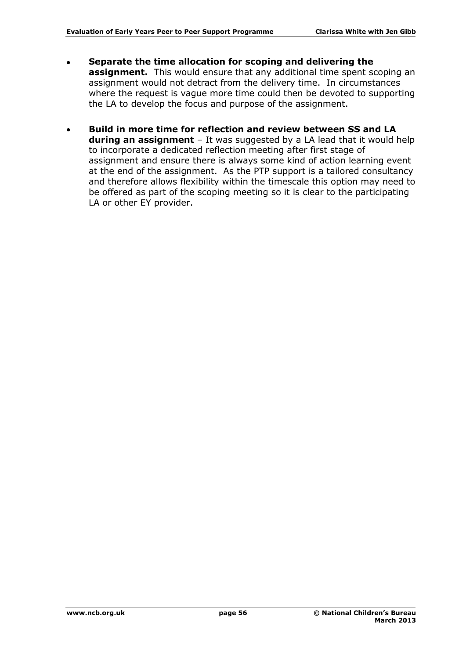- **Separate the time allocation for scoping and delivering the assignment.** This would ensure that any additional time spent scoping an assignment would not detract from the delivery time. In circumstances where the request is vague more time could then be devoted to supporting the LA to develop the focus and purpose of the assignment.
- **Build in more time for reflection and review between SS and LA during an assignment** – It was suggested by a LA lead that it would help to incorporate a dedicated reflection meeting after first stage of assignment and ensure there is always some kind of action learning event at the end of the assignment. As the PTP support is a tailored consultancy and therefore allows flexibility within the timescale this option may need to be offered as part of the scoping meeting so it is clear to the participating LA or other EY provider.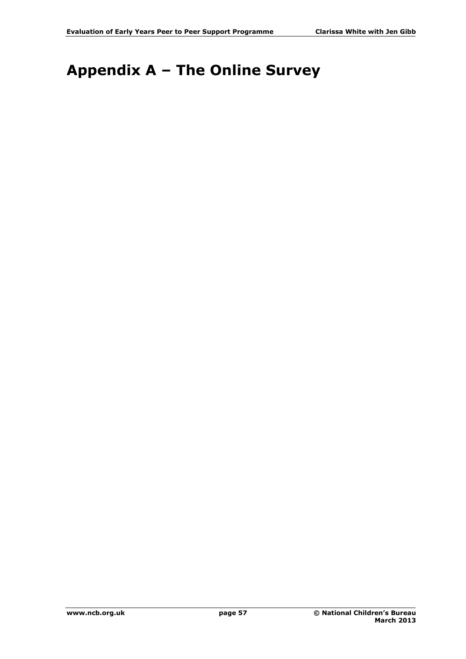# <span id="page-56-0"></span>**Appendix A – The Online Survey**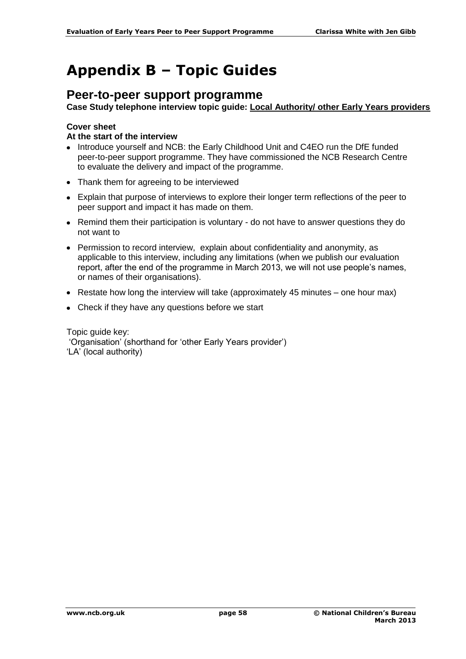# <span id="page-57-0"></span>**Appendix B – Topic Guides**

#### **Peer-to-peer support programme**

**Case Study telephone interview topic guide: Local Authority/ other Early Years providers**

#### **Cover sheet**

#### **At the start of the interview**

- Introduce yourself and NCB: the Early Childhood Unit and C4EO run the DfE funded peer-to-peer support programme. They have commissioned the NCB Research Centre to evaluate the delivery and impact of the programme.
- Thank them for agreeing to be interviewed
- Explain that purpose of interviews to explore their longer term reflections of the peer to peer support and impact it has made on them.
- Remind them their participation is voluntary do not have to answer questions they do not want to
- Permission to record interview, explain about confidentiality and anonymity, as applicable to this interview, including any limitations (when we publish our evaluation report, after the end of the programme in March 2013, we will not use people's names, or names of their organisations).
- $\bullet$  Restate how long the interview will take (approximately 45 minutes one hour max)
- Check if they have any questions before we start

Topic guide key:

'Organisation' (shorthand for 'other Early Years provider')

'LA' (local authority)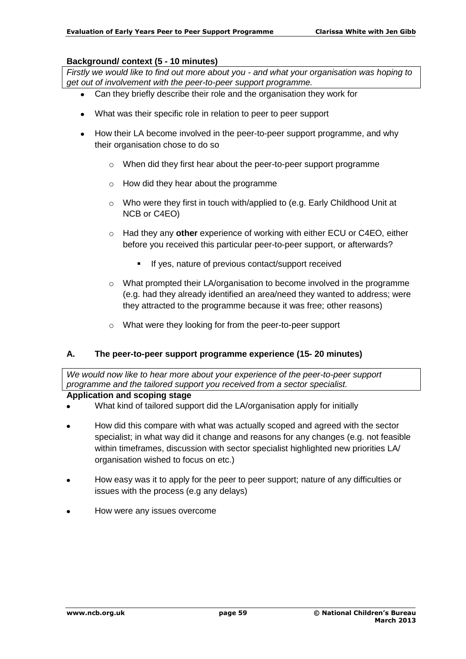#### **Background/ context (5 - 10 minutes)**

*Firstly we would like to find out more about you - and what your organisation was hoping to get out of involvement with the peer-to-peer support programme.*

- Can they briefly describe their role and the organisation they work for
- What was their specific role in relation to peer to peer support
- How their LA become involved in the peer-to-peer support programme, and why their organisation chose to do so
	- o When did they first hear about the peer-to-peer support programme
	- o How did they hear about the programme
	- $\circ$  Who were they first in touch with/applied to (e.g. Early Childhood Unit at NCB or C4EO)
	- o Had they any **other** experience of working with either ECU or C4EO, either before you received this particular peer-to-peer support, or afterwards?
		- **If yes, nature of previous contact/support received**
	- o What prompted their LA/organisation to become involved in the programme (e.g. had they already identified an area/need they wanted to address; were they attracted to the programme because it was free; other reasons)
	- o What were they looking for from the peer-to-peer support

#### **A. The peer-to-peer support programme experience (15- 20 minutes)**

*We would now like to hear more about your experience of the peer-to-peer support programme and the tailored support you received from a sector specialist.*

#### **Application and scoping stage**

- What kind of tailored support did the LA/organisation apply for initially
- How did this compare with what was actually scoped and agreed with the sector specialist; in what way did it change and reasons for any changes (e.g. not feasible within timeframes, discussion with sector specialist highlighted new priorities LA/ organisation wished to focus on etc.)
- How easy was it to apply for the peer to peer support; nature of any difficulties or  $\bullet$ issues with the process (e.g any delays)
- How were any issues overcome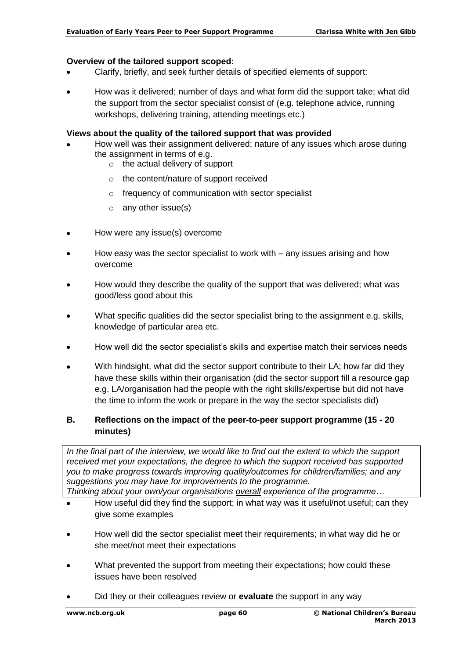#### **Overview of the tailored support scoped:**

- Clarify, briefly, and seek further details of specified elements of support:
- How was it delivered; number of days and what form did the support take; what did the support from the sector specialist consist of (e.g. telephone advice, running workshops, delivering training, attending meetings etc.)

#### **Views about the quality of the tailored support that was provided**

- How well was their assignment delivered; nature of any issues which arose during the assignment in terms of e.g.
	- o the actual delivery of support
	- o the content/nature of support received
	- o frequency of communication with sector specialist
	- $\circ$  any other issue(s)
- How were any issue(s) overcome  $\bullet$
- How easy was the sector specialist to work with any issues arising and how overcome
- How would they describe the quality of the support that was delivered; what was  $\bullet$ good/less good about this
- What specific qualities did the sector specialist bring to the assignment e.g. skills, knowledge of particular area etc.
- How well did the sector specialist's skills and expertise match their services needs
- $\bullet$ With hindsight, what did the sector support contribute to their LA; how far did they have these skills within their organisation (did the sector support fill a resource gap e.g. LA/organisation had the people with the right skills/expertise but did not have the time to inform the work or prepare in the way the sector specialists did)

#### **B. Reflections on the impact of the peer-to-peer support programme (15 - 20 minutes)**

*In the final part of the interview, we would like to find out the extent to which the support received met your expectations, the degree to which the support received has supported you to make progress towards improving quality/outcomes for children/families; and any suggestions you may have for improvements to the programme.*

*Thinking about your own/your organisations overall experience of the programme…*

- How useful did they find the support; in what way was it useful/not useful; can they give some examples
- $\bullet$ How well did the sector specialist meet their requirements; in what way did he or she meet/not meet their expectations
- What prevented the support from meeting their expectations; how could these issues have been resolved
- Did they or their colleagues review or **evaluate** the support in any way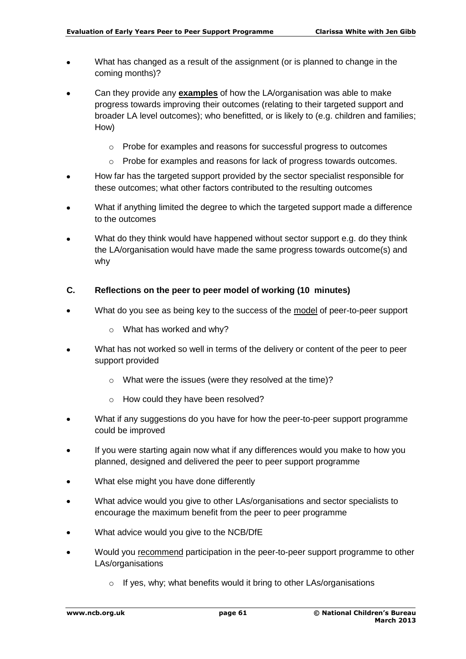- What has changed as a result of the assignment (or is planned to change in the  $\bullet$ coming months)?
- Can they provide any **examples** of how the LA/organisation was able to make progress towards improving their outcomes (relating to their targeted support and broader LA level outcomes); who benefitted, or is likely to (e.g. children and families; How)
	- o Probe for examples and reasons for successful progress to outcomes
	- $\circ$  Probe for examples and reasons for lack of progress towards outcomes.
- How far has the targeted support provided by the sector specialist responsible for these outcomes; what other factors contributed to the resulting outcomes
- What if anything limited the degree to which the targeted support made a difference to the outcomes
- What do they think would have happened without sector support e.g. do they think the LA/organisation would have made the same progress towards outcome(s) and why

#### **C. Reflections on the peer to peer model of working (10 minutes)**

- What do you see as being key to the success of the model of peer-to-peer support
	- o What has worked and why?
- What has not worked so well in terms of the delivery or content of the peer to peer support provided
	- o What were the issues (were they resolved at the time)?
	- o How could they have been resolved?
- What if any suggestions do you have for how the peer-to-peer support programme  $\bullet$ could be improved
- If you were starting again now what if any differences would you make to how you planned, designed and delivered the peer to peer support programme
- What else might you have done differently  $\bullet$
- What advice would you give to other LAs/organisations and sector specialists to encourage the maximum benefit from the peer to peer programme
- What advice would you give to the NCB/DfE  $\bullet$
- Would you recommend participation in the peer-to-peer support programme to other  $\bullet$ LAs/organisations
	- o If yes, why; what benefits would it bring to other LAs/organisations